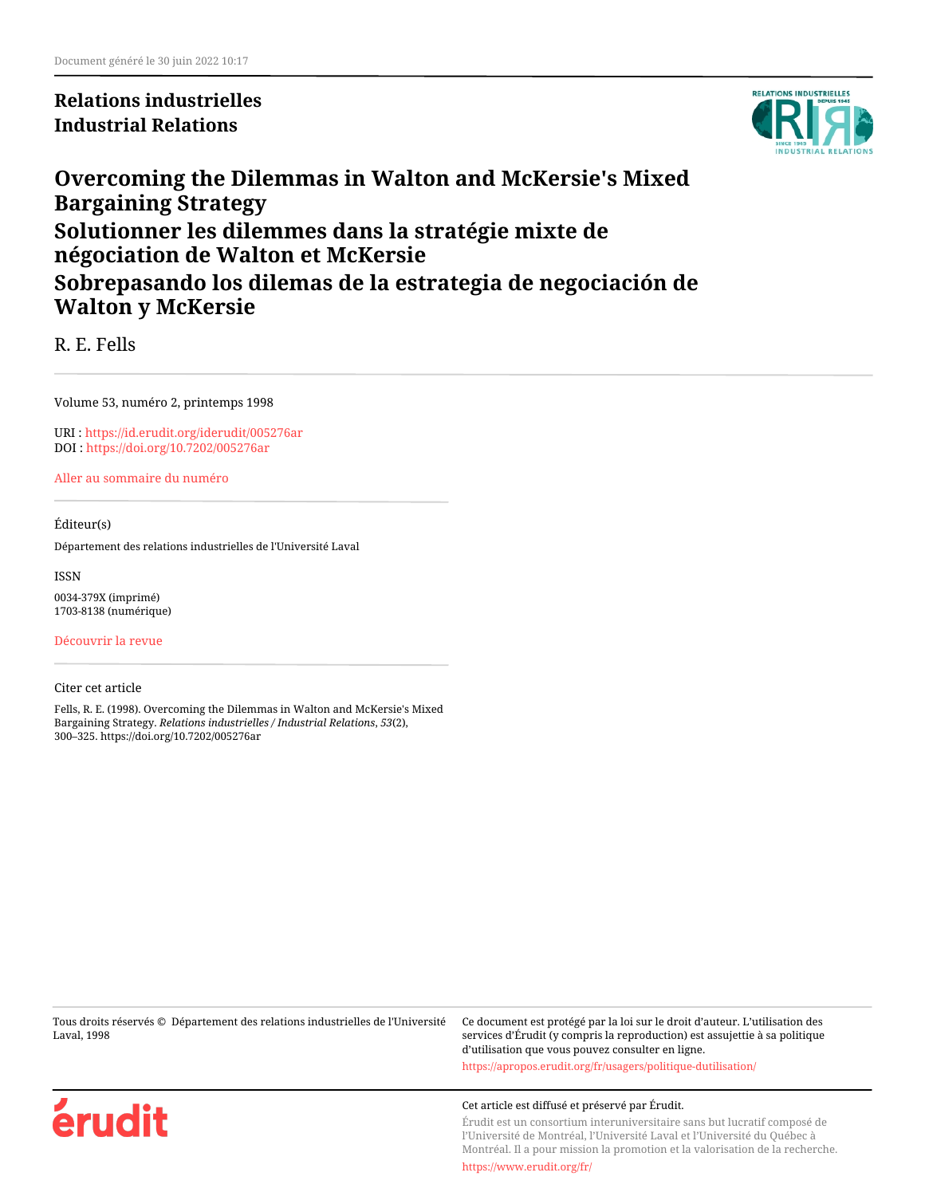**Relations industrielles Industrial Relations**



## **Overcoming the Dilemmas in Walton and McKersie's Mixed Bargaining Strategy Solutionner les dilemmes dans la stratégie mixte de négociation de Walton et McKersie Sobrepasando los dilemas de la estrategia de negociación de Walton y McKersie**

R. E. Fells

Volume 53, numéro 2, printemps 1998

URI :<https://id.erudit.org/iderudit/005276ar> DOI :<https://doi.org/10.7202/005276ar>

[Aller au sommaire du numéro](https://www.erudit.org/fr/revues/ri/1998-v53-n2-ri207/)

#### Éditeur(s)

Département des relations industrielles de l'Université Laval

ISSN

0034-379X (imprimé) 1703-8138 (numérique)

[Découvrir la revue](https://www.erudit.org/fr/revues/ri/)

#### Citer cet article

Fells, R. E. (1998). Overcoming the Dilemmas in Walton and McKersie's Mixed Bargaining Strategy. *Relations industrielles / Industrial Relations*, *53*(2), 300–325. https://doi.org/10.7202/005276ar

Tous droits réservés © Département des relations industrielles de l'Université Laval, 1998

Ce document est protégé par la loi sur le droit d'auteur. L'utilisation des services d'Érudit (y compris la reproduction) est assujettie à sa politique d'utilisation que vous pouvez consulter en ligne.

<https://apropos.erudit.org/fr/usagers/politique-dutilisation/>



#### Cet article est diffusé et préservé par Érudit.

Érudit est un consortium interuniversitaire sans but lucratif composé de l'Université de Montréal, l'Université Laval et l'Université du Québec à Montréal. Il a pour mission la promotion et la valorisation de la recherche.

<https://www.erudit.org/fr/>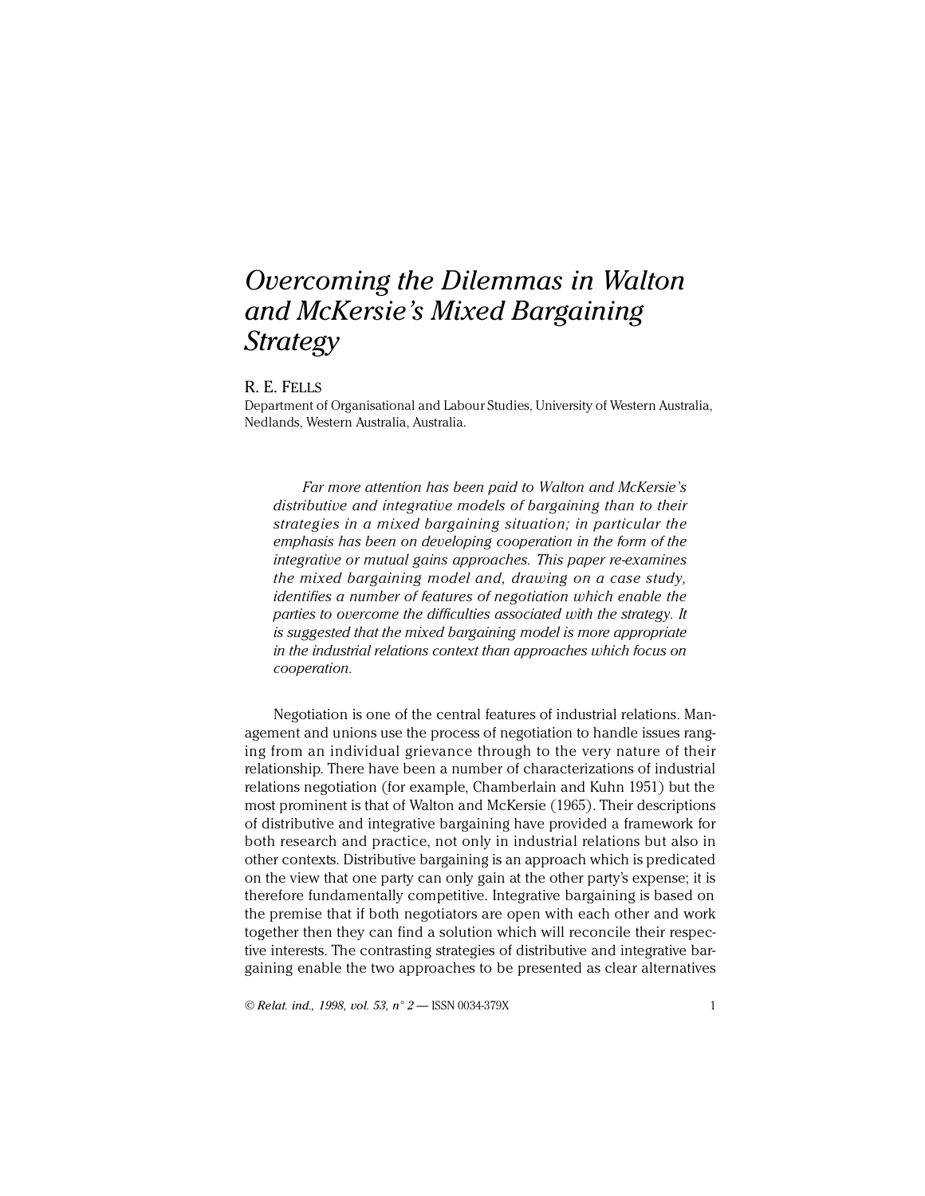# *Overcoming the Dilemmas in Walton and McKersie's Mixed Bargaining Strategy*

#### R. E. FELLS

Department of Organisational and Labour Studies, University of Western Australia, Nedlands, Western Australia, Australia.

Far more attention has been paid to Walton and McKersie's *distributive and integrative models of bargaining than to their strategies in a mixed bargaining situation; in particular the emphasis has been on developing cooperation in the form of the integrative or mutual gains approaches. This paper re-examines the mixed bargaining model and, drawing on a case study, identifies a number of features of negotiation which enable the parties to overcome the difficulties associated with the strategy. It is suggested that the mixed bargaining model is more appropriate in the industrial relations context than approaches which focus on cooperation.*

Negotiation is one of the central features of industrial relations. Management and unions use the process of negotiation to handle issues ranging from an individual grievance through to the very nature of their relationship. There have been a number of characterizations of industrial relations negotiation (for example, Chamberlain and Kuhn 1951) but the most prominent is that of Walton and McKersie (1965). Their descriptions of distributive and integrative bargaining have provided a framework for both research and practice, not only in industrial relations but also in other contexts. Distributive bargaining is an approach which is predicated on the view that one party can only gain at the other party's expense; it is therefore fundamentally competitive. Integrative bargaining is based on the premise that if both negotiators are open with each other and work together then they can find a solution which will reconcile their respective interests. The contrasting strategies of distributive and integrative bargaining enable the two approaches to be presented as clear alternatives

© *Relat. ind., 1998, vol. 53, n° 2* — ISSN 0034-379X 1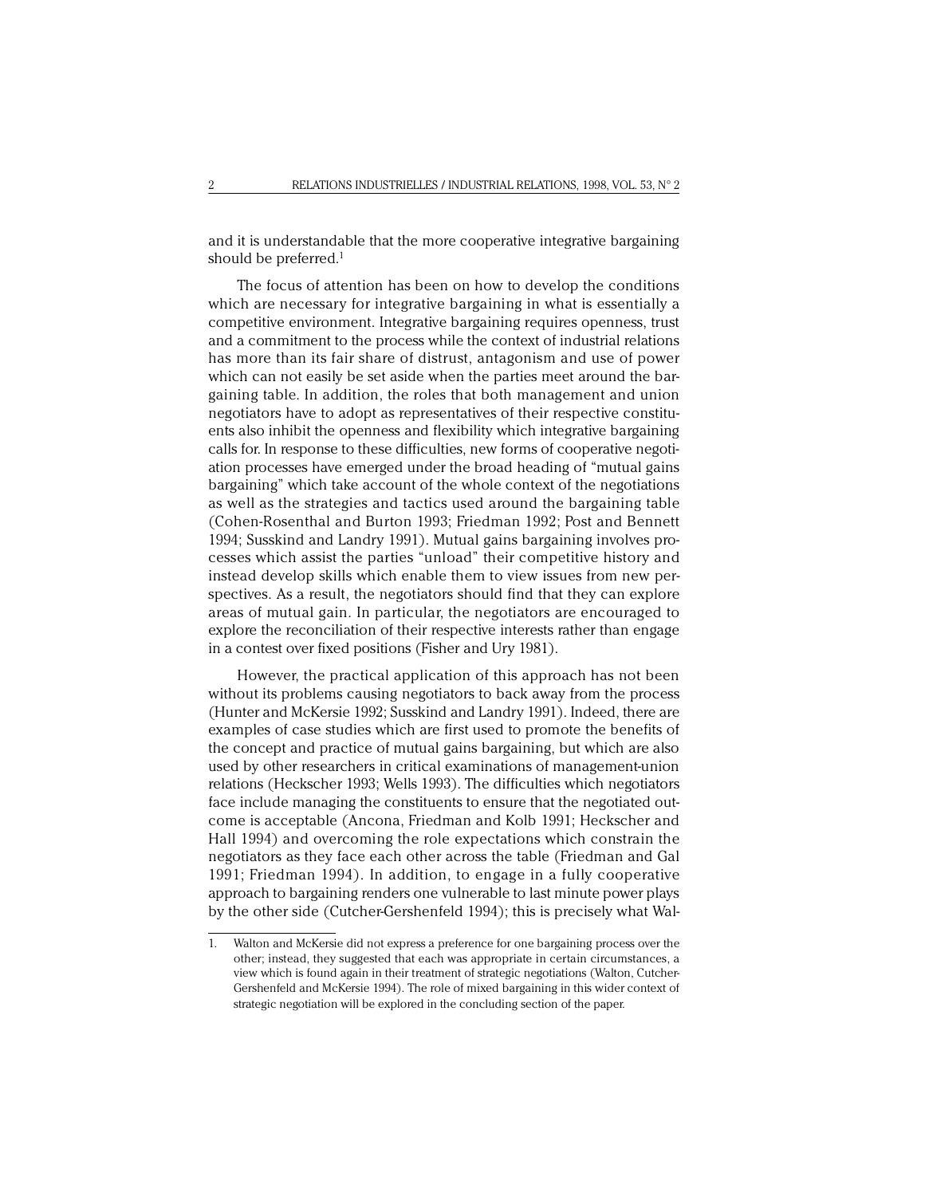and it is understandable that the more cooperative integrative bargaining should be preferred.<sup>1</sup>

The focus of attention has been on how to develop the conditions which are necessary for integrative bargaining in what is essentially a competitive environment. Integrative bargaining requires openness, trust and a commitment to the process while the context of industrial relations has more than its fair share of distrust, antagonism and use of power which can not easily be set aside when the parties meet around the bargaining table. In addition, the roles that both management and union negotiators have to adopt as representatives of their respective constituents also inhibit the openness and flexibility which integrative bargaining calls for. In response to these difficulties, new forms of cooperative negotiation processes have emerged under the broad heading of "mutual gains bargaining" which take account of the whole context of the negotiations as well as the strategies and tactics used around the bargaining table (Cohen-Rosenthal and Burton 1993; Friedman 1992; Post and Bennett 1994; Susskind and Landry 1991). Mutual gains bargaining involves processes which assist the parties "unload" their competitive history and instead develop skills which enable them to view issues from new perspectives. As a result, the negotiators should find that they can explore areas of mutual gain. In particular, the negotiators are encouraged to explore the reconciliation of their respective interests rather than engage in a contest over fixed positions (Fisher and Ury 1981).

However, the practical application of this approach has not been without its problems causing negotiators to back away from the process (Hunter and McKersie 1992; Susskind and Landry 1991). Indeed, there are examples of case studies which are first used to promote the benefits of the concept and practice of mutual gains bargaining, but which are also used by other researchers in critical examinations of management-union relations (Heckscher 1993; Wells 1993). The difficulties which negotiators face include managing the constituents to ensure that the negotiated outcome is acceptable (Ancona, Friedman and Kolb 1991; Heckscher and Hall 1994) and overcoming the role expectations which constrain the negotiators as they face each other across the table (Friedman and Gal 1991; Friedman 1994). In addition, to engage in a fully cooperative approach to bargaining renders one vulnerable to last minute power plays by the other side (Cutcher-Gershenfeld 1994); this is precisely what Wal-

<sup>1.</sup> Walton and McKersie did not express a preference for one bargaining process over the other; instead, they suggested that each was appropriate in certain circumstances, a view which is found again in their treatment of strategic negotiations (Walton, Cutcher-Gershenfeld and McKersie 1994). The role of mixed bargaining in this wider context of strategic negotiation will be explored in the concluding section of the paper.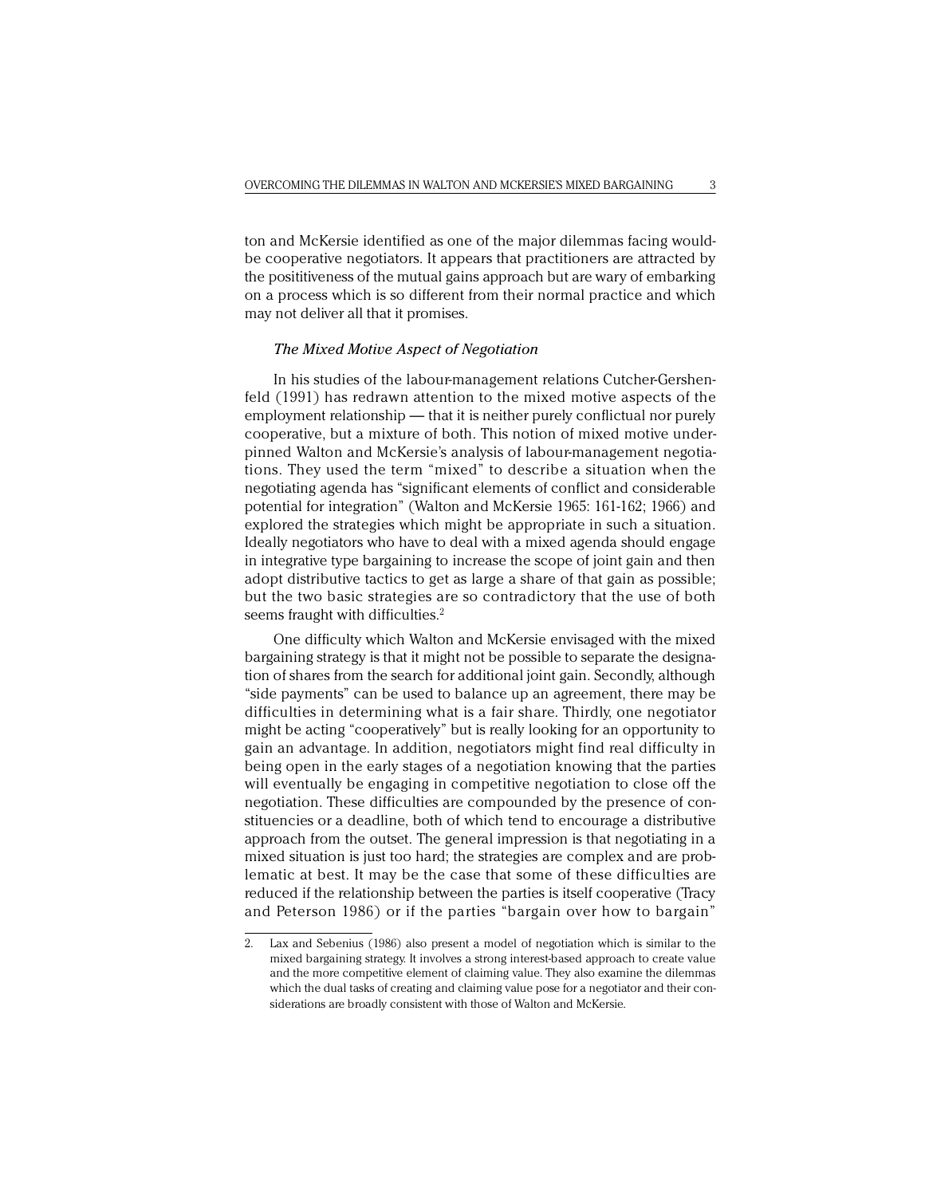ton and McKersie identified as one of the major dilemmas facing wouldbe cooperative negotiators. It appears that practitioners are attracted by the posititiveness of the mutual gains approach but are wary of embarking on a process which is so different from their normal practice and which may not deliver all that it promises.

#### *The Mixed Motive Aspect of Negotiation*

In his studies of the labour-management relations Cutcher-Gershenfeld (1991) has redrawn attention to the mixed motive aspects of the employment relationship — that it is neither purely conflictual nor purely cooperative, but a mixture of both. This notion of mixed motive underpinned Walton and McKersie's analysis of labour-management negotiations. They used the term "mixed" to describe a situation when the negotiating agenda has "significant elements of conflict and considerable potential for integration" (Walton and McKersie 1965: 161-162; 1966) and explored the strategies which might be appropriate in such a situation. Ideally negotiators who have to deal with a mixed agenda should engage in integrative type bargaining to increase the scope of joint gain and then adopt distributive tactics to get as large a share of that gain as possible; but the two basic strategies are so contradictory that the use of both seems fraught with difficulties.<sup>2</sup>

One difficulty which Walton and McKersie envisaged with the mixed bargaining strategy is that it might not be possible to separate the designation of shares from the search for additional joint gain. Secondly, although "side payments" can be used to balance up an agreement, there may be difficulties in determining what is a fair share. Thirdly, one negotiator might be acting "cooperatively" but is really looking for an opportunity to gain an advantage. In addition, negotiators might find real difficulty in being open in the early stages of a negotiation knowing that the parties will eventually be engaging in competitive negotiation to close off the negotiation. These difficulties are compounded by the presence of constituencies or a deadline, both of which tend to encourage a distributive approach from the outset. The general impression is that negotiating in a mixed situation is just too hard; the strategies are complex and are problematic at best. It may be the case that some of these difficulties are reduced if the relationship between the parties is itself cooperative (Tracy and Peterson 1986) or if the parties "bargain over how to bargain"

<sup>2.</sup> Lax and Sebenius (1986) also present a model of negotiation which is similar to the mixed bargaining strategy. It involves a strong interest-based approach to create value and the more competitive element of claiming value. They also examine the dilemmas which the dual tasks of creating and claiming value pose for a negotiator and their considerations are broadly consistent with those of Walton and McKersie.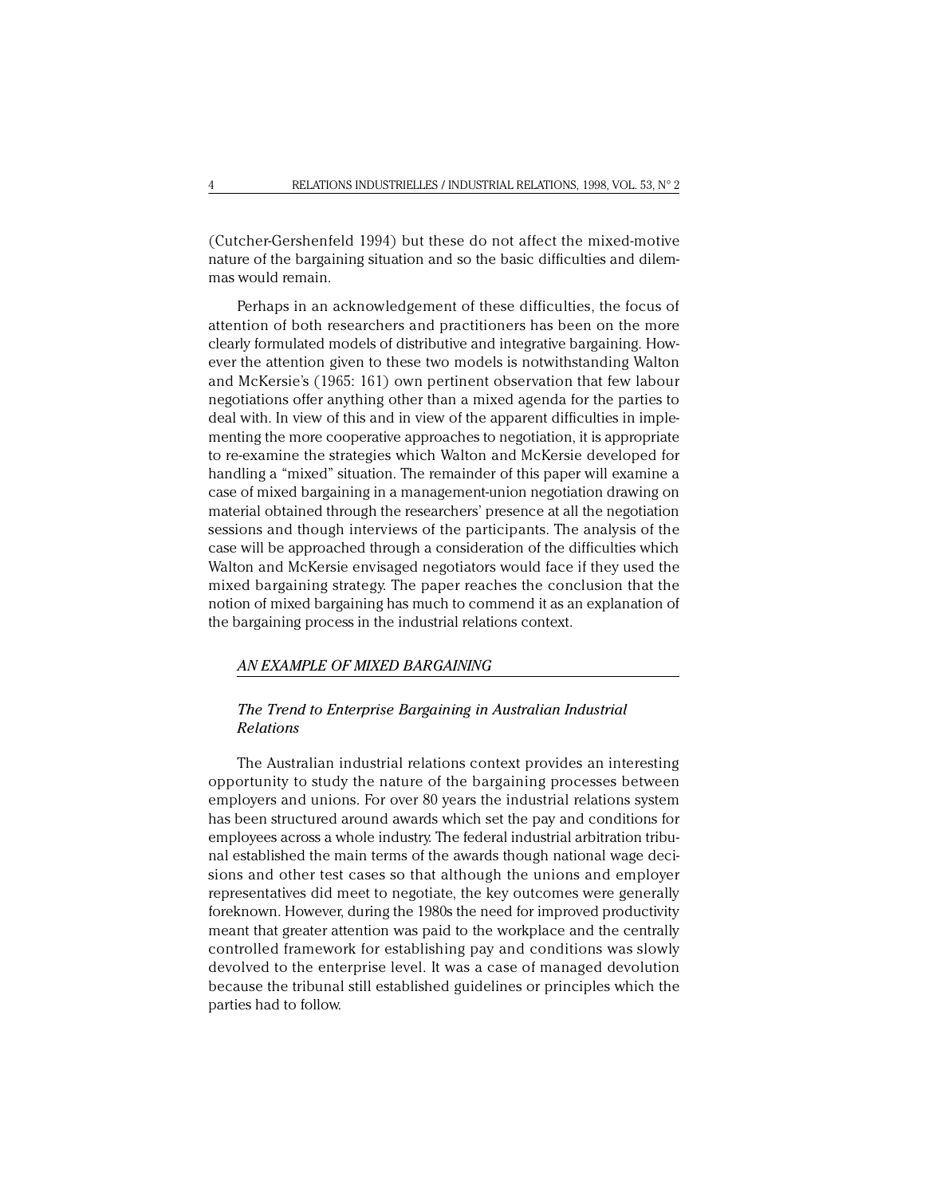(Cutcher-Gershenfeld 1994) but these do not affect the mixed-motive nature of the bargaining situation and so the basic difficulties and dilemmas would remain.

Perhaps in an acknowledgement of these difficulties, the focus of attention of both researchers and practitioners has been on the more clearly formulated models of distributive and integrative bargaining. However the attention given to these two models is notwithstanding Walton and McKersie's (1965: 161) own pertinent observation that few labour negotiations offer anything other than a mixed agenda for the parties to deal with. In view of this and in view of the apparent difficulties in implementing the more cooperative approaches to negotiation, it is appropriate to re-examine the strategies which Walton and McKersie developed for handling a "mixed" situation. The remainder of this paper will examine a case of mixed bargaining in a management-union negotiation drawing on material obtained through the researchers' presence at all the negotiation sessions and though interviews of the participants. The analysis of the case will be approached through a consideration of the difficulties which Walton and McKersie envisaged negotiators would face if they used the mixed bargaining strategy. The paper reaches the conclusion that the notion of mixed bargaining has much to commend it as an explanation of the bargaining process in the industrial relations context.

#### *AN EXAMPLE OF MIXED BARGAINING*

## *The Trend to Enterprise Bargaining in Australian Industrial Relations*

The Australian industrial relations context provides an interesting opportunity to study the nature of the bargaining processes between employers and unions. For over 80 years the industrial relations system has been structured around awards which set the pay and conditions for employees across a whole industry. The federal industrial arbitration tribunal established the main terms of the awards though national wage decisions and other test cases so that although the unions and employer representatives did meet to negotiate, the key outcomes were generally foreknown. However, during the 1980s the need for improved productivity meant that greater attention was paid to the workplace and the centrally controlled framework for establishing pay and conditions was slowly devolved to the enterprise level. It was a case of managed devolution because the tribunal still established guidelines or principles which the parties had to follow.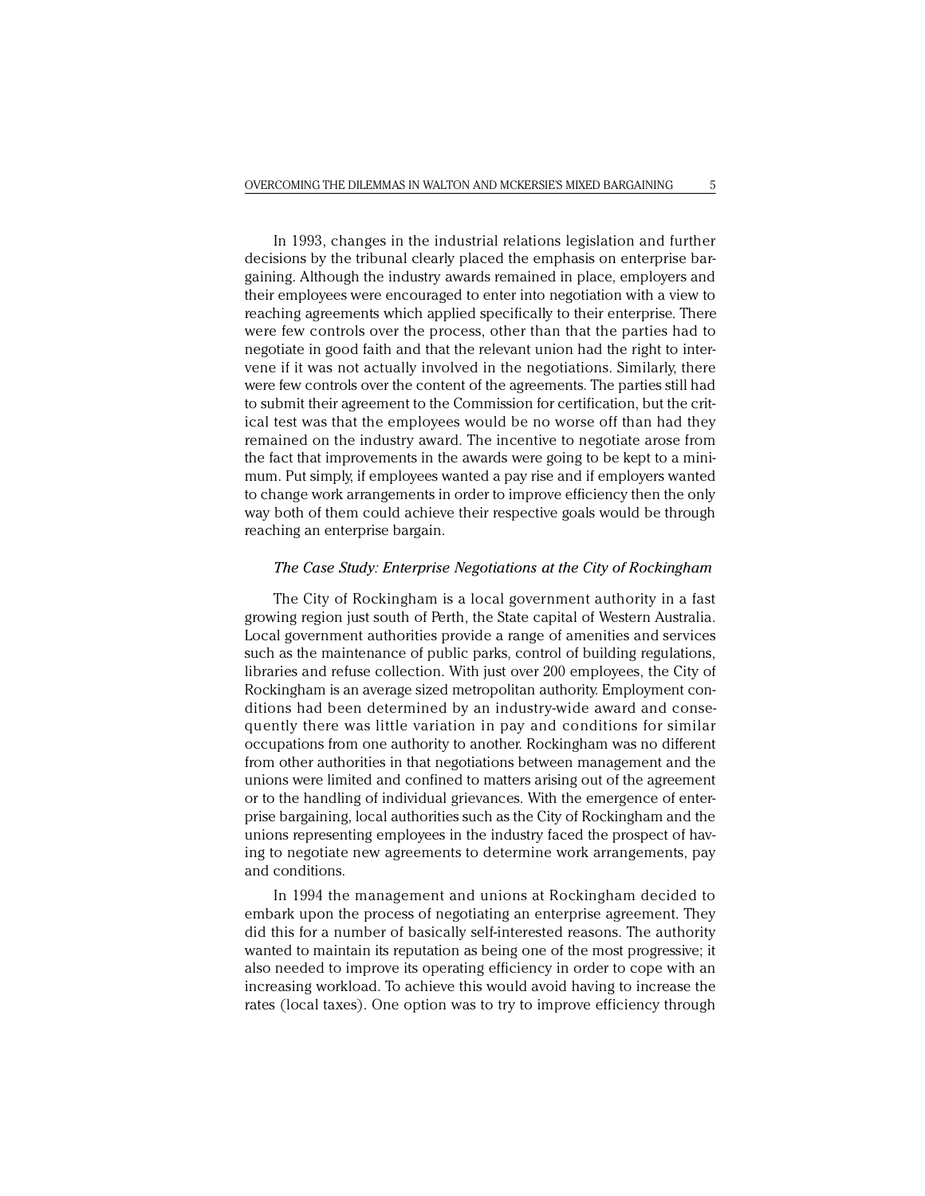In 1993, changes in the industrial relations legislation and further decisions by the tribunal clearly placed the emphasis on enterprise bargaining. Although the industry awards remained in place, employers and their employees were encouraged to enter into negotiation with a view to reaching agreements which applied specifically to their enterprise. There were few controls over the process, other than that the parties had to negotiate in good faith and that the relevant union had the right to intervene if it was not actually involved in the negotiations. Similarly, there were few controls over the content of the agreements. The parties still had to submit their agreement to the Commission for certification, but the critical test was that the employees would be no worse off than had they remained on the industry award. The incentive to negotiate arose from the fact that improvements in the awards were going to be kept to a minimum. Put simply, if employees wanted a pay rise and if employers wanted to change work arrangements in order to improve efficiency then the only way both of them could achieve their respective goals would be through reaching an enterprise bargain.

#### *The Case Study: Enterprise Negotiations at the City of Rockingham*

The City of Rockingham is a local government authority in a fast growing region just south of Perth, the State capital of Western Australia. Local government authorities provide a range of amenities and services such as the maintenance of public parks, control of building regulations, libraries and refuse collection. With just over 200 employees, the City of Rockingham is an average sized metropolitan authority. Employment conditions had been determined by an industry-wide award and consequently there was little variation in pay and conditions for similar occupations from one authority to another. Rockingham was no different from other authorities in that negotiations between management and the unions were limited and confined to matters arising out of the agreement or to the handling of individual grievances. With the emergence of enterprise bargaining, local authorities such as the City of Rockingham and the unions representing employees in the industry faced the prospect of having to negotiate new agreements to determine work arrangements, pay and conditions.

In 1994 the management and unions at Rockingham decided to embark upon the process of negotiating an enterprise agreement. They did this for a number of basically self-interested reasons. The authority wanted to maintain its reputation as being one of the most progressive; it also needed to improve its operating efficiency in order to cope with an increasing workload. To achieve this would avoid having to increase the rates (local taxes). One option was to try to improve efficiency through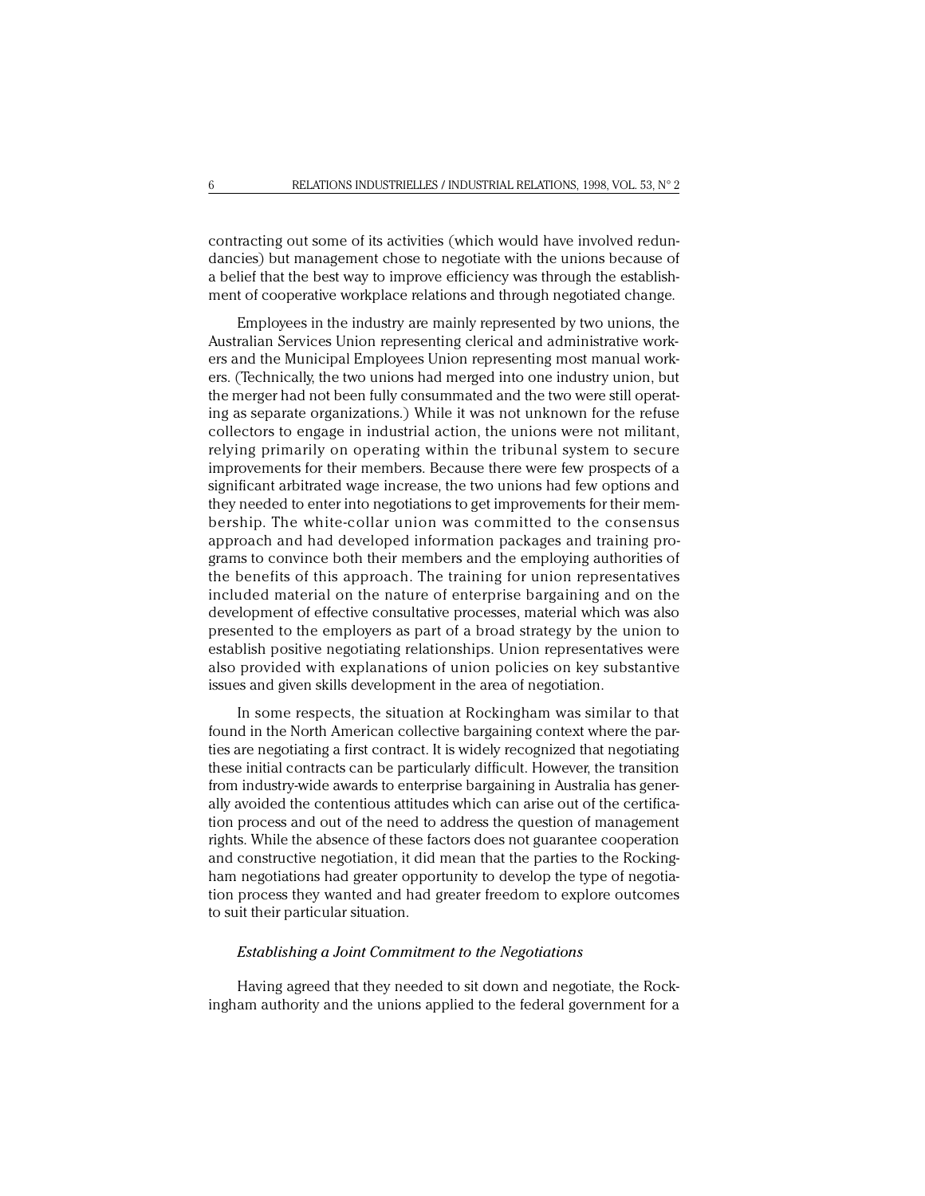contracting out some of its activities (which would have involved redundancies) but management chose to negotiate with the unions because of a belief that the best way to improve efficiency was through the establishment of cooperative workplace relations and through negotiated change.

Employees in the industry are mainly represented by two unions, the Australian Services Union representing clerical and administrative workers and the Municipal Employees Union representing most manual workers. (Technically, the two unions had merged into one industry union, but the merger had not been fully consummated and the two were still operating as separate organizations.) While it was not unknown for the refuse collectors to engage in industrial action, the unions were not militant, relying primarily on operating within the tribunal system to secure improvements for their members. Because there were few prospects of a significant arbitrated wage increase, the two unions had few options and they needed to enter into negotiations to get improvements for their membership. The white-collar union was committed to the consensus approach and had developed information packages and training programs to convince both their members and the employing authorities of the benefits of this approach. The training for union representatives included material on the nature of enterprise bargaining and on the development of effective consultative processes, material which was also presented to the employers as part of a broad strategy by the union to establish positive negotiating relationships. Union representatives were also provided with explanations of union policies on key substantive issues and given skills development in the area of negotiation.

In some respects, the situation at Rockingham was similar to that found in the North American collective bargaining context where the parties are negotiating a first contract. It is widely recognized that negotiating these initial contracts can be particularly difficult. However, the transition from industry-wide awards to enterprise bargaining in Australia has generally avoided the contentious attitudes which can arise out of the certification process and out of the need to address the question of management rights. While the absence of these factors does not guarantee cooperation and constructive negotiation, it did mean that the parties to the Rockingham negotiations had greater opportunity to develop the type of negotiation process they wanted and had greater freedom to explore outcomes to suit their particular situation.

#### *Establishing a Joint Commitment to the Negotiations*

Having agreed that they needed to sit down and negotiate, the Rockingham authority and the unions applied to the federal government for a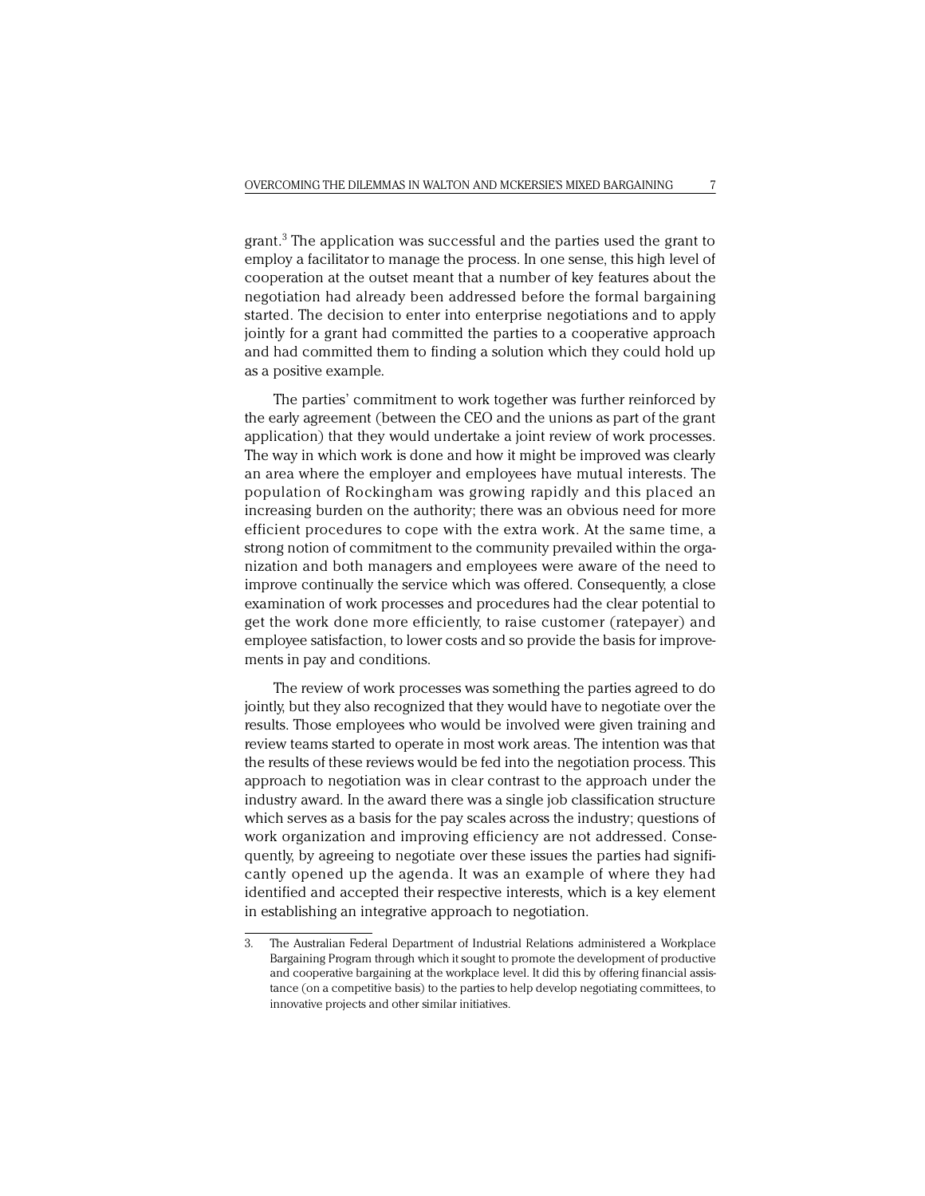grant.3 The application was successful and the parties used the grant to employ a facilitator to manage the process. In one sense, this high level of cooperation at the outset meant that a number of key features about the negotiation had already been addressed before the formal bargaining started. The decision to enter into enterprise negotiations and to apply jointly for a grant had committed the parties to a cooperative approach and had committed them to finding a solution which they could hold up as a positive example.

The parties' commitment to work together was further reinforced by the early agreement (between the CEO and the unions as part of the grant application) that they would undertake a joint review of work processes. The way in which work is done and how it might be improved was clearly an area where the employer and employees have mutual interests. The population of Rockingham was growing rapidly and this placed an increasing burden on the authority; there was an obvious need for more efficient procedures to cope with the extra work. At the same time, a strong notion of commitment to the community prevailed within the organization and both managers and employees were aware of the need to improve continually the service which was offered. Consequently, a close examination of work processes and procedures had the clear potential to get the work done more efficiently, to raise customer (ratepayer) and employee satisfaction, to lower costs and so provide the basis for improvements in pay and conditions.

The review of work processes was something the parties agreed to do jointly, but they also recognized that they would have to negotiate over the results. Those employees who would be involved were given training and review teams started to operate in most work areas. The intention was that the results of these reviews would be fed into the negotiation process. This approach to negotiation was in clear contrast to the approach under the industry award. In the award there was a single job classification structure which serves as a basis for the pay scales across the industry; questions of work organization and improving efficiency are not addressed. Consequently, by agreeing to negotiate over these issues the parties had significantly opened up the agenda. It was an example of where they had identified and accepted their respective interests, which is a key element in establishing an integrative approach to negotiation.

<sup>3.</sup> The Australian Federal Department of Industrial Relations administered a Workplace Bargaining Program through which it sought to promote the development of productive and cooperative bargaining at the workplace level. It did this by offering financial assistance (on a competitive basis) to the parties to help develop negotiating committees, to innovative projects and other similar initiatives.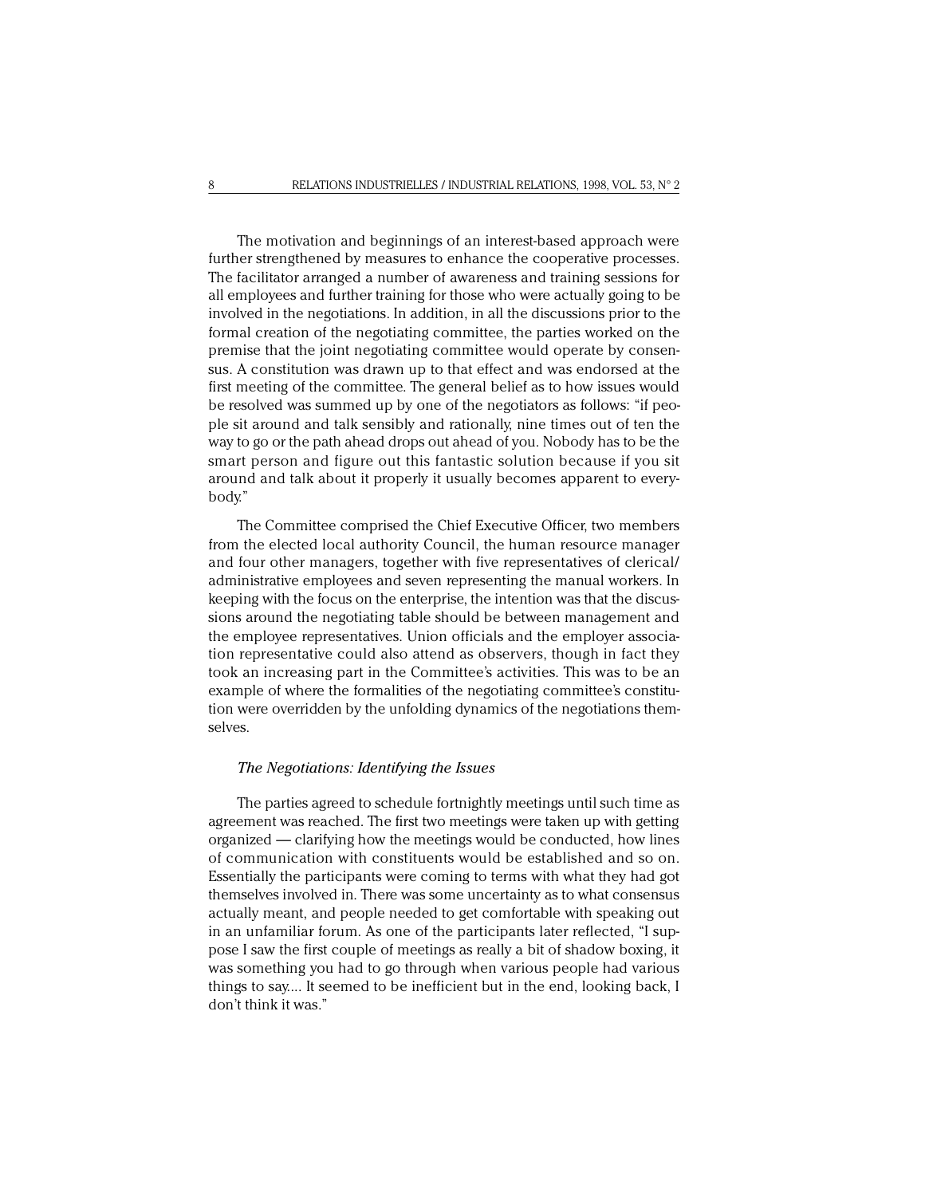The motivation and beginnings of an interest-based approach were further strengthened by measures to enhance the cooperative processes. The facilitator arranged a number of awareness and training sessions for all employees and further training for those who were actually going to be involved in the negotiations. In addition, in all the discussions prior to the formal creation of the negotiating committee, the parties worked on the premise that the joint negotiating committee would operate by consensus. A constitution was drawn up to that effect and was endorsed at the first meeting of the committee. The general belief as to how issues would be resolved was summed up by one of the negotiators as follows: "if people sit around and talk sensibly and rationally, nine times out of ten the way to go or the path ahead drops out ahead of you. Nobody has to be the smart person and figure out this fantastic solution because if you sit around and talk about it properly it usually becomes apparent to everybody."

The Committee comprised the Chief Executive Officer, two members from the elected local authority Council, the human resource manager and four other managers, together with five representatives of clerical/ administrative employees and seven representing the manual workers. In keeping with the focus on the enterprise, the intention was that the discussions around the negotiating table should be between management and the employee representatives. Union officials and the employer association representative could also attend as observers, though in fact they took an increasing part in the Committee's activities. This was to be an example of where the formalities of the negotiating committee's constitution were overridden by the unfolding dynamics of the negotiations themselves.

#### *The Negotiations: Identifying the Issues*

The parties agreed to schedule fortnightly meetings until such time as agreement was reached. The first two meetings were taken up with getting organized — clarifying how the meetings would be conducted, how lines of communication with constituents would be established and so on. Essentially the participants were coming to terms with what they had got themselves involved in. There was some uncertainty as to what consensus actually meant, and people needed to get comfortable with speaking out in an unfamiliar forum. As one of the participants later reflected, "I suppose I saw the first couple of meetings as really a bit of shadow boxing, it was something you had to go through when various people had various things to say.... It seemed to be inefficient but in the end, looking back, I don't think it was."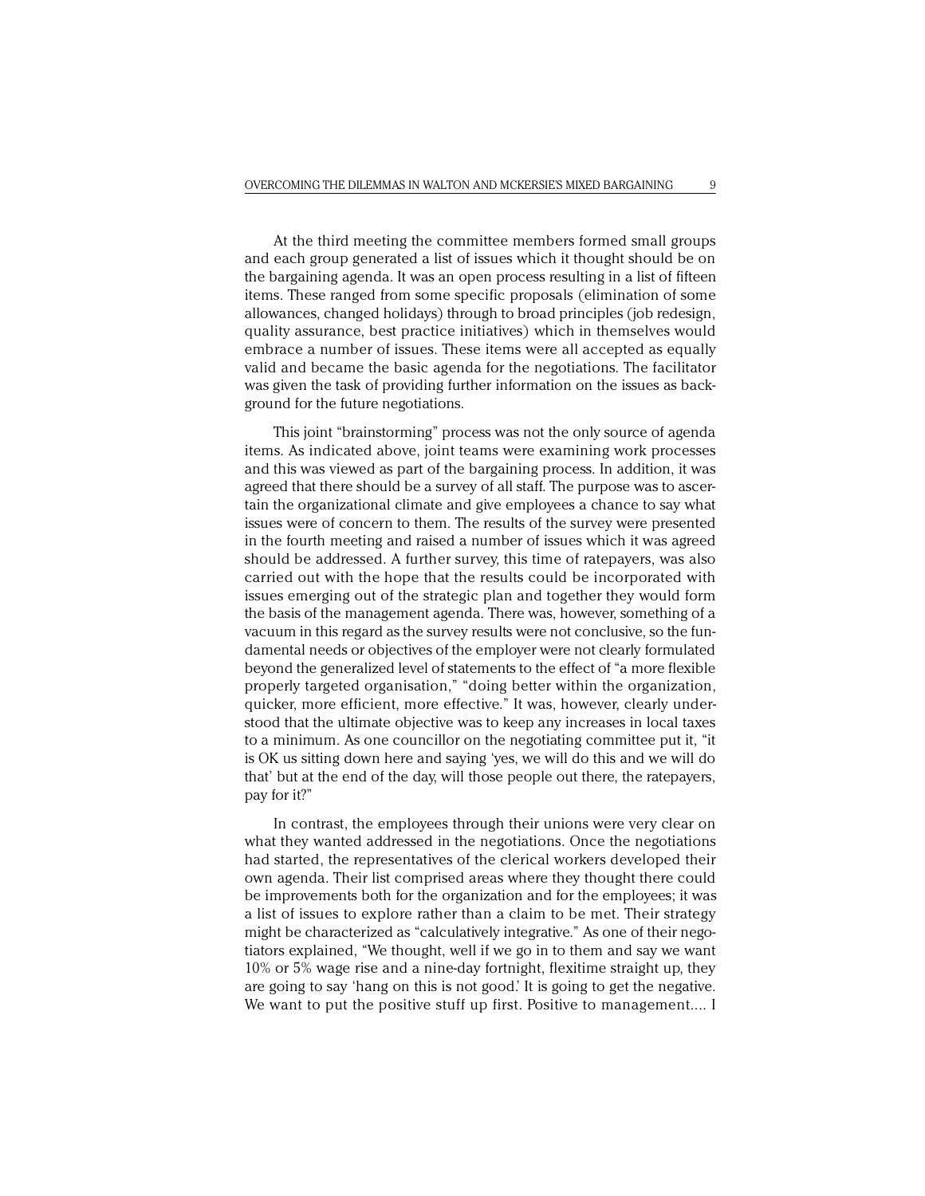At the third meeting the committee members formed small groups and each group generated a list of issues which it thought should be on the bargaining agenda. It was an open process resulting in a list of fifteen items. These ranged from some specific proposals (elimination of some allowances, changed holidays) through to broad principles (job redesign, quality assurance, best practice initiatives) which in themselves would embrace a number of issues. These items were all accepted as equally valid and became the basic agenda for the negotiations. The facilitator was given the task of providing further information on the issues as background for the future negotiations.

This joint "brainstorming" process was not the only source of agenda items. As indicated above, joint teams were examining work processes and this was viewed as part of the bargaining process. In addition, it was agreed that there should be a survey of all staff. The purpose was to ascertain the organizational climate and give employees a chance to say what issues were of concern to them. The results of the survey were presented in the fourth meeting and raised a number of issues which it was agreed should be addressed. A further survey, this time of ratepayers, was also carried out with the hope that the results could be incorporated with issues emerging out of the strategic plan and together they would form the basis of the management agenda. There was, however, something of a vacuum in this regard as the survey results were not conclusive, so the fundamental needs or objectives of the employer were not clearly formulated beyond the generalized level of statements to the effect of "a more flexible properly targeted organisation," "doing better within the organization, quicker, more efficient, more effective." It was, however, clearly understood that the ultimate objective was to keep any increases in local taxes to a minimum. As one councillor on the negotiating committee put it, "it is OK us sitting down here and saying 'yes, we will do this and we will do that' but at the end of the day, will those people out there, the ratepayers, pay for it?"

In contrast, the employees through their unions were very clear on what they wanted addressed in the negotiations. Once the negotiations had started, the representatives of the clerical workers developed their own agenda. Their list comprised areas where they thought there could be improvements both for the organization and for the employees; it was a list of issues to explore rather than a claim to be met. Their strategy might be characterized as "calculatively integrative." As one of their negotiators explained, "We thought, well if we go in to them and say we want 10% or 5% wage rise and a nine-day fortnight, flexitime straight up, they are going to say 'hang on this is not good.' It is going to get the negative. We want to put the positive stuff up first. Positive to management.... I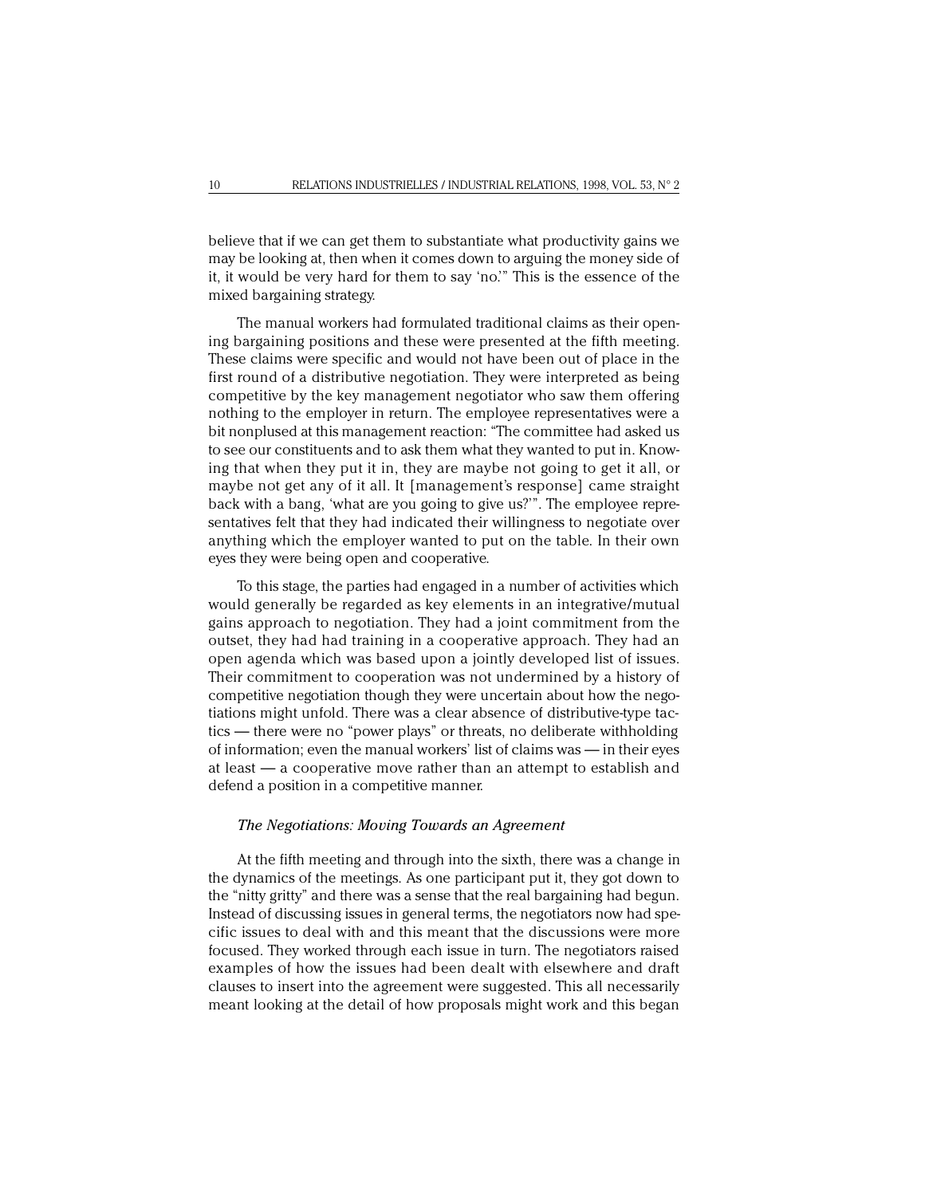believe that if we can get them to substantiate what productivity gains we may be looking at, then when it comes down to arguing the money side of it, it would be very hard for them to say 'no.'" This is the essence of the mixed bargaining strategy.

The manual workers had formulated traditional claims as their opening bargaining positions and these were presented at the fifth meeting. These claims were specific and would not have been out of place in the first round of a distributive negotiation. They were interpreted as being competitive by the key management negotiator who saw them offering nothing to the employer in return. The employee representatives were a bit nonplused at this management reaction: "The committee had asked us to see our constituents and to ask them what they wanted to put in. Knowing that when they put it in, they are maybe not going to get it all, or maybe not get any of it all. It [management's response] came straight back with a bang, 'what are you going to give us?'". The employee representatives felt that they had indicated their willingness to negotiate over anything which the employer wanted to put on the table. In their own eyes they were being open and cooperative.

To this stage, the parties had engaged in a number of activities which would generally be regarded as key elements in an integrative/mutual gains approach to negotiation. They had a joint commitment from the outset, they had had training in a cooperative approach. They had an open agenda which was based upon a jointly developed list of issues. Their commitment to cooperation was not undermined by a history of competitive negotiation though they were uncertain about how the negotiations might unfold. There was a clear absence of distributive-type tactics — there were no "power plays" or threats, no deliberate withholding of information; even the manual workers' list of claims was — in their eyes at least — a cooperative move rather than an attempt to establish and defend a position in a competitive manner.

#### *The Negotiations: Moving Towards an Agreement*

At the fifth meeting and through into the sixth, there was a change in the dynamics of the meetings. As one participant put it, they got down to the "nitty gritty" and there was a sense that the real bargaining had begun. Instead of discussing issues in general terms, the negotiators now had specific issues to deal with and this meant that the discussions were more focused. They worked through each issue in turn. The negotiators raised examples of how the issues had been dealt with elsewhere and draft clauses to insert into the agreement were suggested. This all necessarily meant looking at the detail of how proposals might work and this began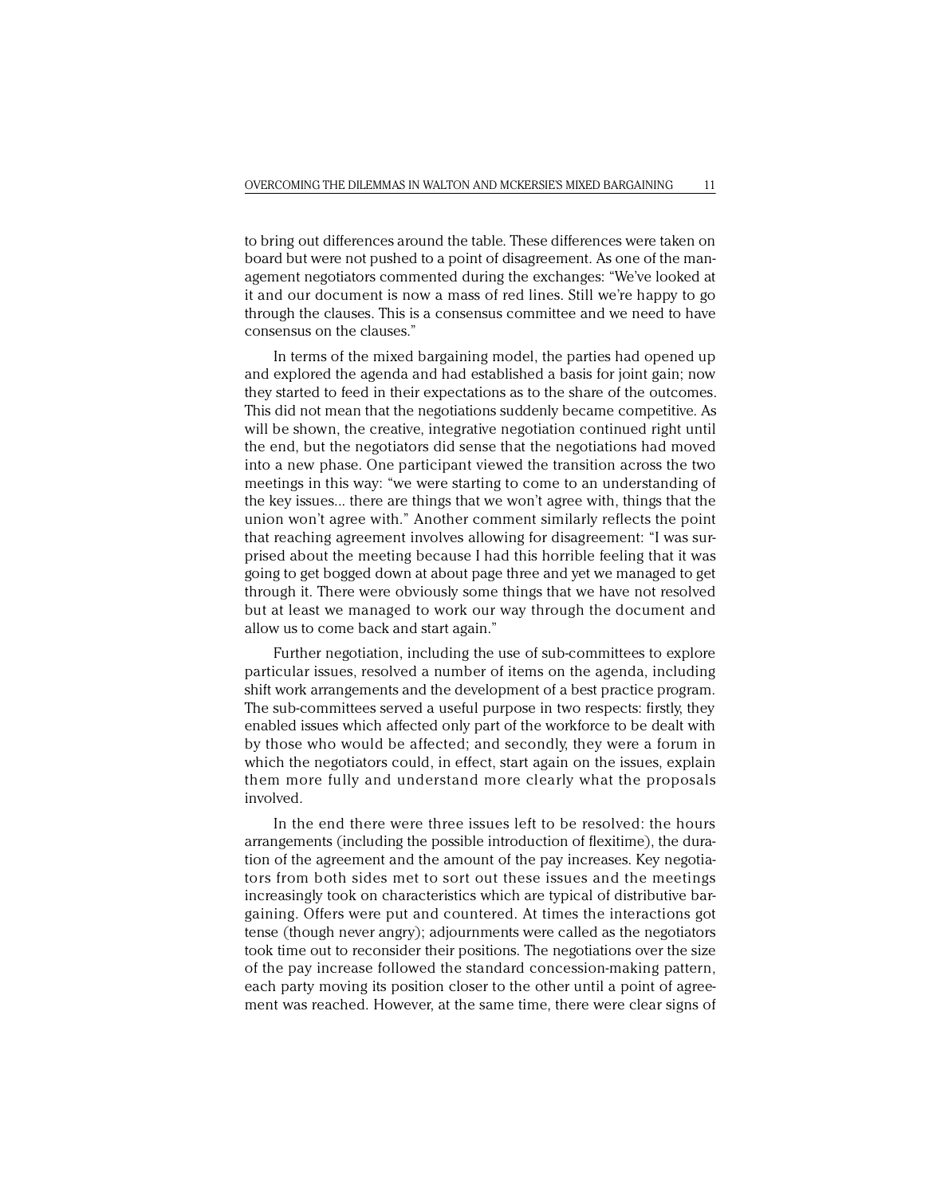to bring out differences around the table. These differences were taken on board but were not pushed to a point of disagreement. As one of the management negotiators commented during the exchanges: "We've looked at it and our document is now a mass of red lines. Still we're happy to go through the clauses. This is a consensus committee and we need to have consensus on the clauses."

In terms of the mixed bargaining model, the parties had opened up and explored the agenda and had established a basis for joint gain; now they started to feed in their expectations as to the share of the outcomes. This did not mean that the negotiations suddenly became competitive. As will be shown, the creative, integrative negotiation continued right until the end, but the negotiators did sense that the negotiations had moved into a new phase. One participant viewed the transition across the two meetings in this way: "we were starting to come to an understanding of the key issues... there are things that we won't agree with, things that the union won't agree with." Another comment similarly reflects the point that reaching agreement involves allowing for disagreement: "I was surprised about the meeting because I had this horrible feeling that it was going to get bogged down at about page three and yet we managed to get through it. There were obviously some things that we have not resolved but at least we managed to work our way through the document and allow us to come back and start again."

Further negotiation, including the use of sub-committees to explore particular issues, resolved a number of items on the agenda, including shift work arrangements and the development of a best practice program. The sub-committees served a useful purpose in two respects: firstly, they enabled issues which affected only part of the workforce to be dealt with by those who would be affected; and secondly, they were a forum in which the negotiators could, in effect, start again on the issues, explain them more fully and understand more clearly what the proposals involved.

In the end there were three issues left to be resolved: the hours arrangements (including the possible introduction of flexitime), the duration of the agreement and the amount of the pay increases. Key negotiators from both sides met to sort out these issues and the meetings increasingly took on characteristics which are typical of distributive bargaining. Offers were put and countered. At times the interactions got tense (though never angry); adjournments were called as the negotiators took time out to reconsider their positions. The negotiations over the size of the pay increase followed the standard concession-making pattern, each party moving its position closer to the other until a point of agreement was reached. However, at the same time, there were clear signs of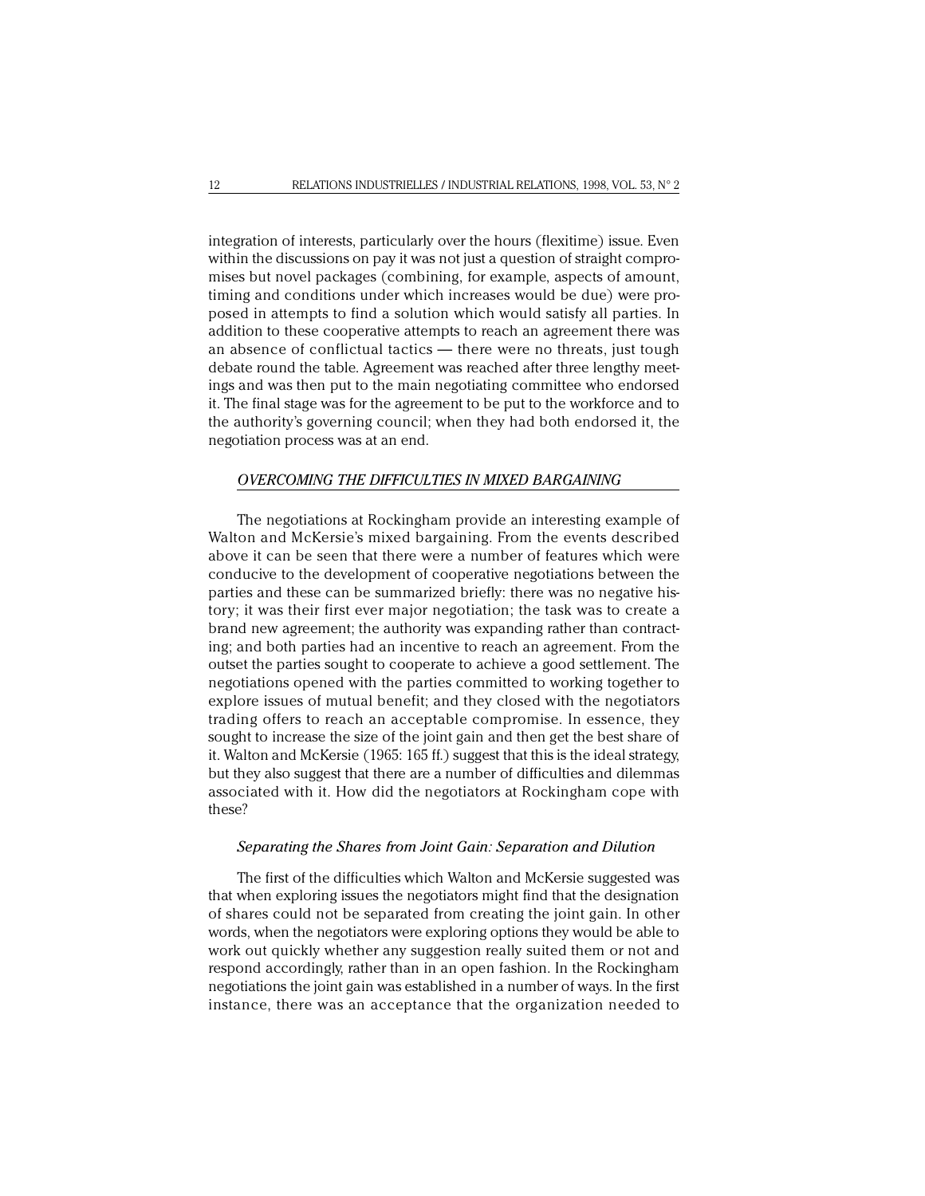integration of interests, particularly over the hours (flexitime) issue. Even within the discussions on pay it was not just a question of straight compromises but novel packages (combining, for example, aspects of amount, timing and conditions under which increases would be due) were proposed in attempts to find a solution which would satisfy all parties. In addition to these cooperative attempts to reach an agreement there was an absence of conflictual tactics — there were no threats, just tough debate round the table. Agreement was reached after three lengthy meetings and was then put to the main negotiating committee who endorsed it. The final stage was for the agreement to be put to the workforce and to the authority's governing council; when they had both endorsed it, the negotiation process was at an end.

#### *OVERCOMING THE DIFFICULTIES IN MIXED BARGAINING*

The negotiations at Rockingham provide an interesting example of Walton and McKersie's mixed bargaining. From the events described above it can be seen that there were a number of features which were conducive to the development of cooperative negotiations between the parties and these can be summarized briefly: there was no negative history; it was their first ever major negotiation; the task was to create a brand new agreement; the authority was expanding rather than contracting; and both parties had an incentive to reach an agreement. From the outset the parties sought to cooperate to achieve a good settlement. The negotiations opened with the parties committed to working together to explore issues of mutual benefit; and they closed with the negotiators trading offers to reach an acceptable compromise. In essence, they sought to increase the size of the joint gain and then get the best share of it. Walton and McKersie (1965: 165 ff.) suggest that this is the ideal strategy, but they also suggest that there are a number of difficulties and dilemmas associated with it. How did the negotiators at Rockingham cope with these?

#### *Separating the Shares from Joint Gain: Separation and Dilution*

The first of the difficulties which Walton and McKersie suggested was that when exploring issues the negotiators might find that the designation of shares could not be separated from creating the joint gain. In other words, when the negotiators were exploring options they would be able to work out quickly whether any suggestion really suited them or not and respond accordingly, rather than in an open fashion. In the Rockingham negotiations the joint gain was established in a number of ways. In the first instance, there was an acceptance that the organization needed to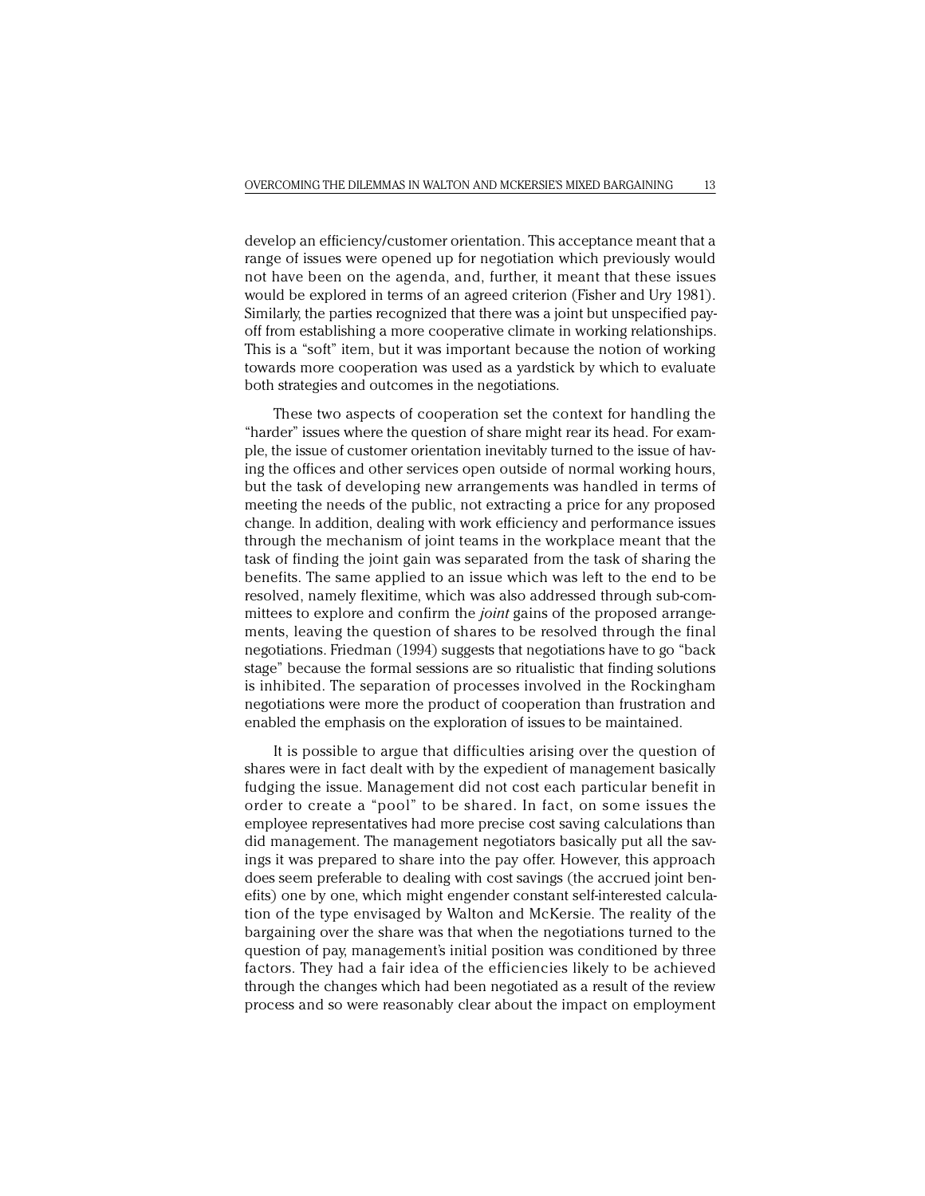develop an efficiency/customer orientation. This acceptance meant that a range of issues were opened up for negotiation which previously would not have been on the agenda, and, further, it meant that these issues would be explored in terms of an agreed criterion (Fisher and Ury 1981). Similarly, the parties recognized that there was a joint but unspecified payoff from establishing a more cooperative climate in working relationships. This is a "soft" item, but it was important because the notion of working towards more cooperation was used as a yardstick by which to evaluate both strategies and outcomes in the negotiations.

These two aspects of cooperation set the context for handling the "harder" issues where the question of share might rear its head. For example, the issue of customer orientation inevitably turned to the issue of having the offices and other services open outside of normal working hours, but the task of developing new arrangements was handled in terms of meeting the needs of the public, not extracting a price for any proposed change. In addition, dealing with work efficiency and performance issues through the mechanism of joint teams in the workplace meant that the task of finding the joint gain was separated from the task of sharing the benefits. The same applied to an issue which was left to the end to be resolved, namely flexitime, which was also addressed through sub-committees to explore and confirm the *joint* gains of the proposed arrangements, leaving the question of shares to be resolved through the final negotiations. Friedman (1994) suggests that negotiations have to go "back stage" because the formal sessions are so ritualistic that finding solutions is inhibited. The separation of processes involved in the Rockingham negotiations were more the product of cooperation than frustration and enabled the emphasis on the exploration of issues to be maintained.

It is possible to argue that difficulties arising over the question of shares were in fact dealt with by the expedient of management basically fudging the issue. Management did not cost each particular benefit in order to create a "pool" to be shared. In fact, on some issues the employee representatives had more precise cost saving calculations than did management. The management negotiators basically put all the savings it was prepared to share into the pay offer. However, this approach does seem preferable to dealing with cost savings (the accrued joint benefits) one by one, which might engender constant self-interested calculation of the type envisaged by Walton and McKersie. The reality of the bargaining over the share was that when the negotiations turned to the question of pay, management's initial position was conditioned by three factors. They had a fair idea of the efficiencies likely to be achieved through the changes which had been negotiated as a result of the review process and so were reasonably clear about the impact on employment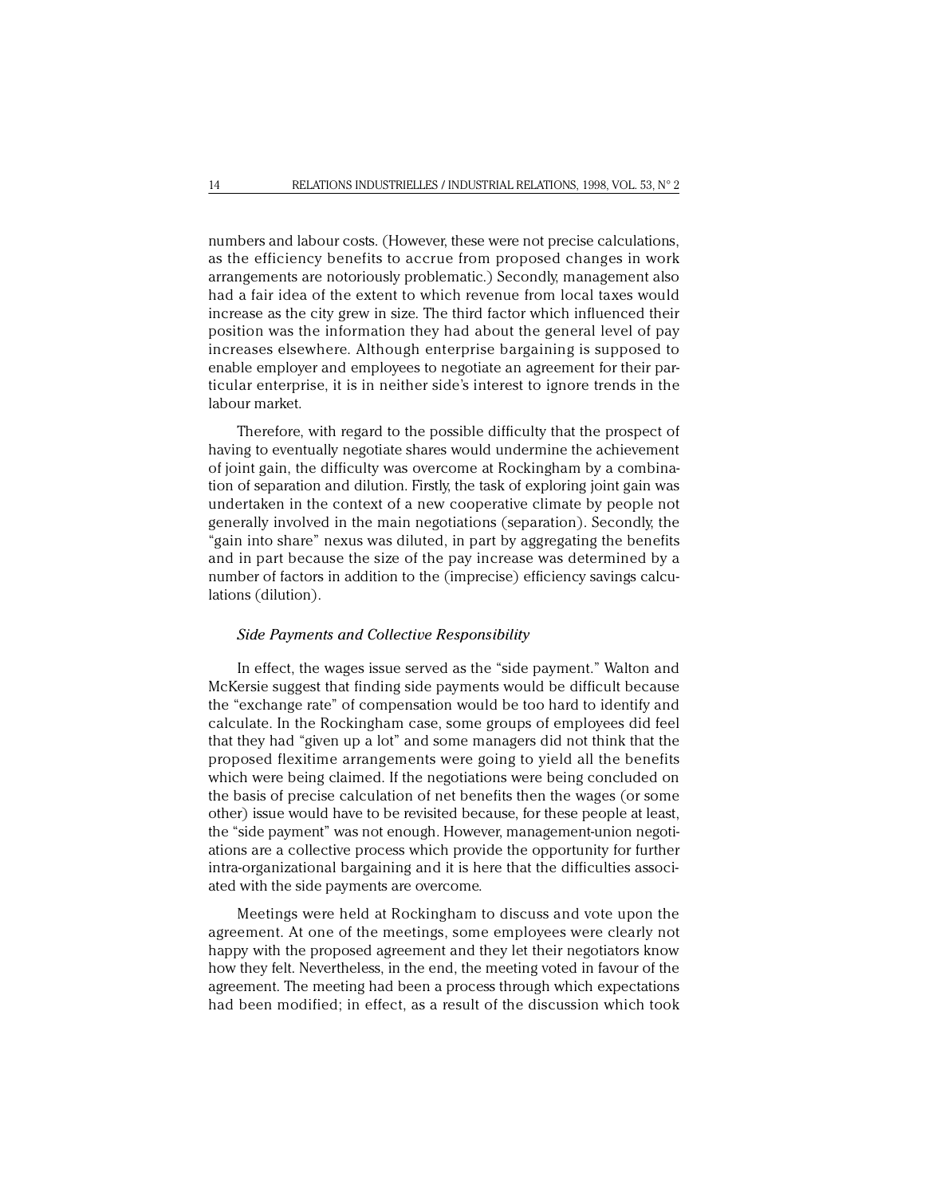numbers and labour costs. (However, these were not precise calculations, as the efficiency benefits to accrue from proposed changes in work arrangements are notoriously problematic.) Secondly, management also had a fair idea of the extent to which revenue from local taxes would increase as the city grew in size. The third factor which influenced their position was the information they had about the general level of pay increases elsewhere. Although enterprise bargaining is supposed to enable employer and employees to negotiate an agreement for their particular enterprise, it is in neither side's interest to ignore trends in the labour market.

Therefore, with regard to the possible difficulty that the prospect of having to eventually negotiate shares would undermine the achievement of joint gain, the difficulty was overcome at Rockingham by a combination of separation and dilution. Firstly, the task of exploring joint gain was undertaken in the context of a new cooperative climate by people not generally involved in the main negotiations (separation). Secondly, the "gain into share" nexus was diluted, in part by aggregating the benefits and in part because the size of the pay increase was determined by a number of factors in addition to the (imprecise) efficiency savings calculations (dilution).

#### *Side Payments and Collective Responsibility*

In effect, the wages issue served as the "side payment." Walton and McKersie suggest that finding side payments would be difficult because the "exchange rate" of compensation would be too hard to identify and calculate. In the Rockingham case, some groups of employees did feel that they had "given up a lot" and some managers did not think that the proposed flexitime arrangements were going to yield all the benefits which were being claimed. If the negotiations were being concluded on the basis of precise calculation of net benefits then the wages (or some other) issue would have to be revisited because, for these people at least, the "side payment" was not enough. However, management-union negotiations are a collective process which provide the opportunity for further intra-organizational bargaining and it is here that the difficulties associated with the side payments are overcome.

Meetings were held at Rockingham to discuss and vote upon the agreement. At one of the meetings, some employees were clearly not happy with the proposed agreement and they let their negotiators know how they felt. Nevertheless, in the end, the meeting voted in favour of the agreement. The meeting had been a process through which expectations had been modified; in effect, as a result of the discussion which took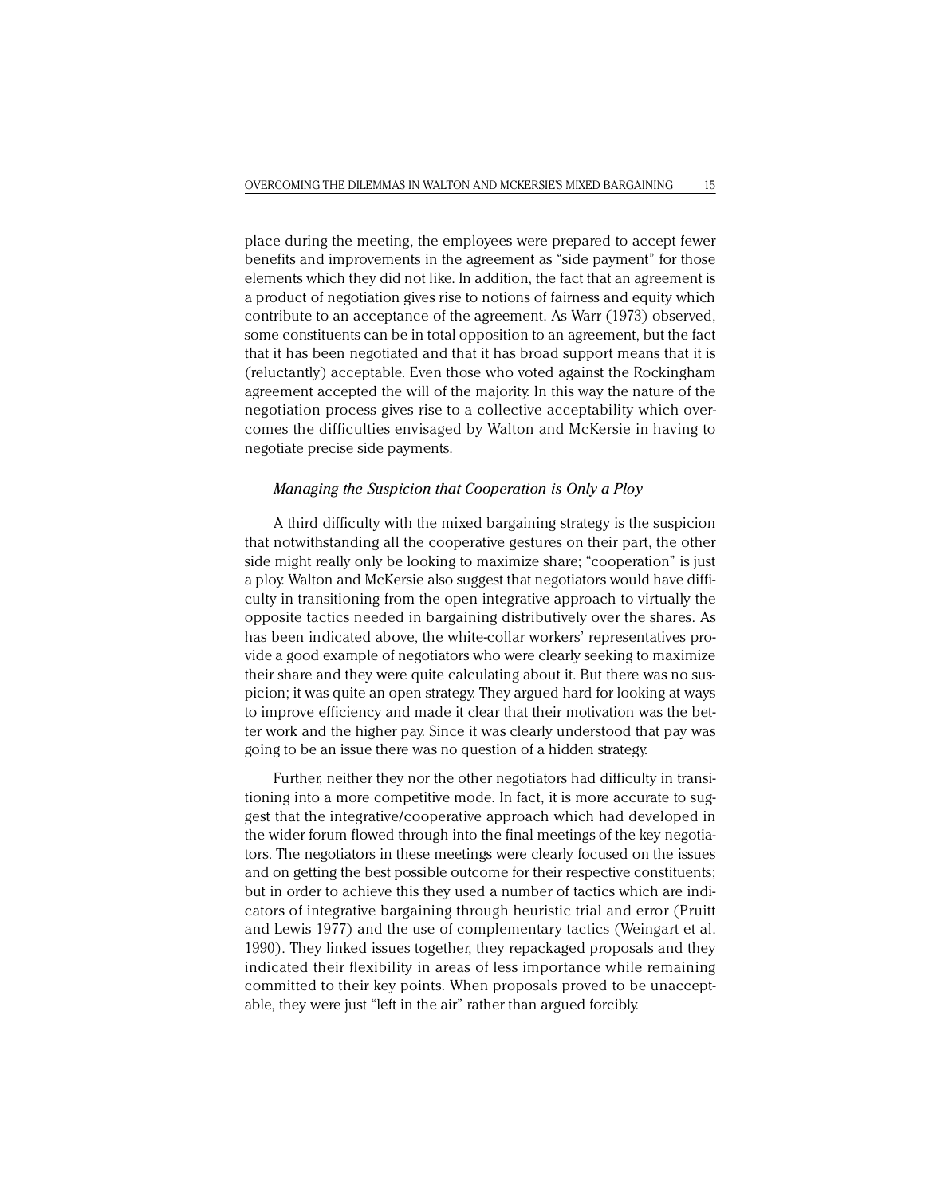place during the meeting, the employees were prepared to accept fewer benefits and improvements in the agreement as "side payment" for those elements which they did not like. In addition, the fact that an agreement is a product of negotiation gives rise to notions of fairness and equity which contribute to an acceptance of the agreement. As Warr (1973) observed, some constituents can be in total opposition to an agreement, but the fact that it has been negotiated and that it has broad support means that it is (reluctantly) acceptable. Even those who voted against the Rockingham agreement accepted the will of the majority. In this way the nature of the negotiation process gives rise to a collective acceptability which overcomes the difficulties envisaged by Walton and McKersie in having to negotiate precise side payments.

#### *Managing the Suspicion that Cooperation is Only a Ploy*

A third difficulty with the mixed bargaining strategy is the suspicion that notwithstanding all the cooperative gestures on their part, the other side might really only be looking to maximize share; "cooperation" is just a ploy. Walton and McKersie also suggest that negotiators would have difficulty in transitioning from the open integrative approach to virtually the opposite tactics needed in bargaining distributively over the shares. As has been indicated above, the white-collar workers' representatives provide a good example of negotiators who were clearly seeking to maximize their share and they were quite calculating about it. But there was no suspicion; it was quite an open strategy. They argued hard for looking at ways to improve efficiency and made it clear that their motivation was the better work and the higher pay. Since it was clearly understood that pay was going to be an issue there was no question of a hidden strategy.

Further, neither they nor the other negotiators had difficulty in transitioning into a more competitive mode. In fact, it is more accurate to suggest that the integrative/cooperative approach which had developed in the wider forum flowed through into the final meetings of the key negotiators. The negotiators in these meetings were clearly focused on the issues and on getting the best possible outcome for their respective constituents; but in order to achieve this they used a number of tactics which are indicators of integrative bargaining through heuristic trial and error (Pruitt and Lewis 1977) and the use of complementary tactics (Weingart et al. 1990). They linked issues together, they repackaged proposals and they indicated their flexibility in areas of less importance while remaining committed to their key points. When proposals proved to be unacceptable, they were just "left in the air" rather than argued forcibly.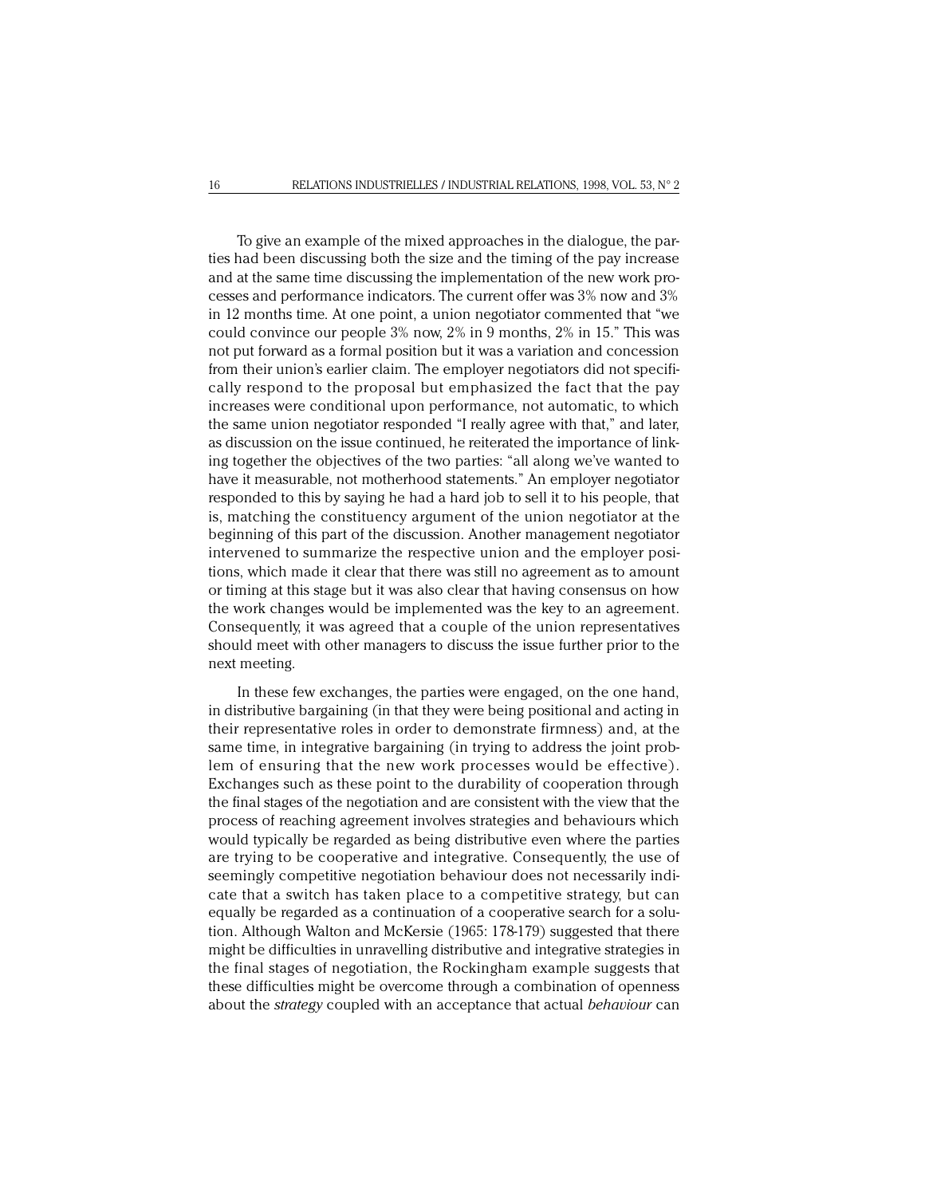To give an example of the mixed approaches in the dialogue, the parties had been discussing both the size and the timing of the pay increase and at the same time discussing the implementation of the new work processes and performance indicators. The current offer was 3% now and 3% in 12 months time. At one point, a union negotiator commented that "we could convince our people 3% now, 2% in 9 months, 2% in 15." This was not put forward as a formal position but it was a variation and concession from their union's earlier claim. The employer negotiators did not specifically respond to the proposal but emphasized the fact that the pay increases were conditional upon performance, not automatic, to which the same union negotiator responded "I really agree with that," and later, as discussion on the issue continued, he reiterated the importance of linking together the objectives of the two parties: "all along we've wanted to have it measurable, not motherhood statements." An employer negotiator responded to this by saying he had a hard job to sell it to his people, that is, matching the constituency argument of the union negotiator at the beginning of this part of the discussion. Another management negotiator intervened to summarize the respective union and the employer positions, which made it clear that there was still no agreement as to amount or timing at this stage but it was also clear that having consensus on how the work changes would be implemented was the key to an agreement. Consequently, it was agreed that a couple of the union representatives should meet with other managers to discuss the issue further prior to the next meeting.

In these few exchanges, the parties were engaged, on the one hand, in distributive bargaining (in that they were being positional and acting in their representative roles in order to demonstrate firmness) and, at the same time, in integrative bargaining (in trying to address the joint problem of ensuring that the new work processes would be effective). Exchanges such as these point to the durability of cooperation through the final stages of the negotiation and are consistent with the view that the process of reaching agreement involves strategies and behaviours which would typically be regarded as being distributive even where the parties are trying to be cooperative and integrative. Consequently, the use of seemingly competitive negotiation behaviour does not necessarily indicate that a switch has taken place to a competitive strategy, but can equally be regarded as a continuation of a cooperative search for a solution. Although Walton and McKersie (1965: 178-179) suggested that there might be difficulties in unravelling distributive and integrative strategies in the final stages of negotiation, the Rockingham example suggests that these difficulties might be overcome through a combination of openness about the *strategy* coupled with an acceptance that actual *behaviour* can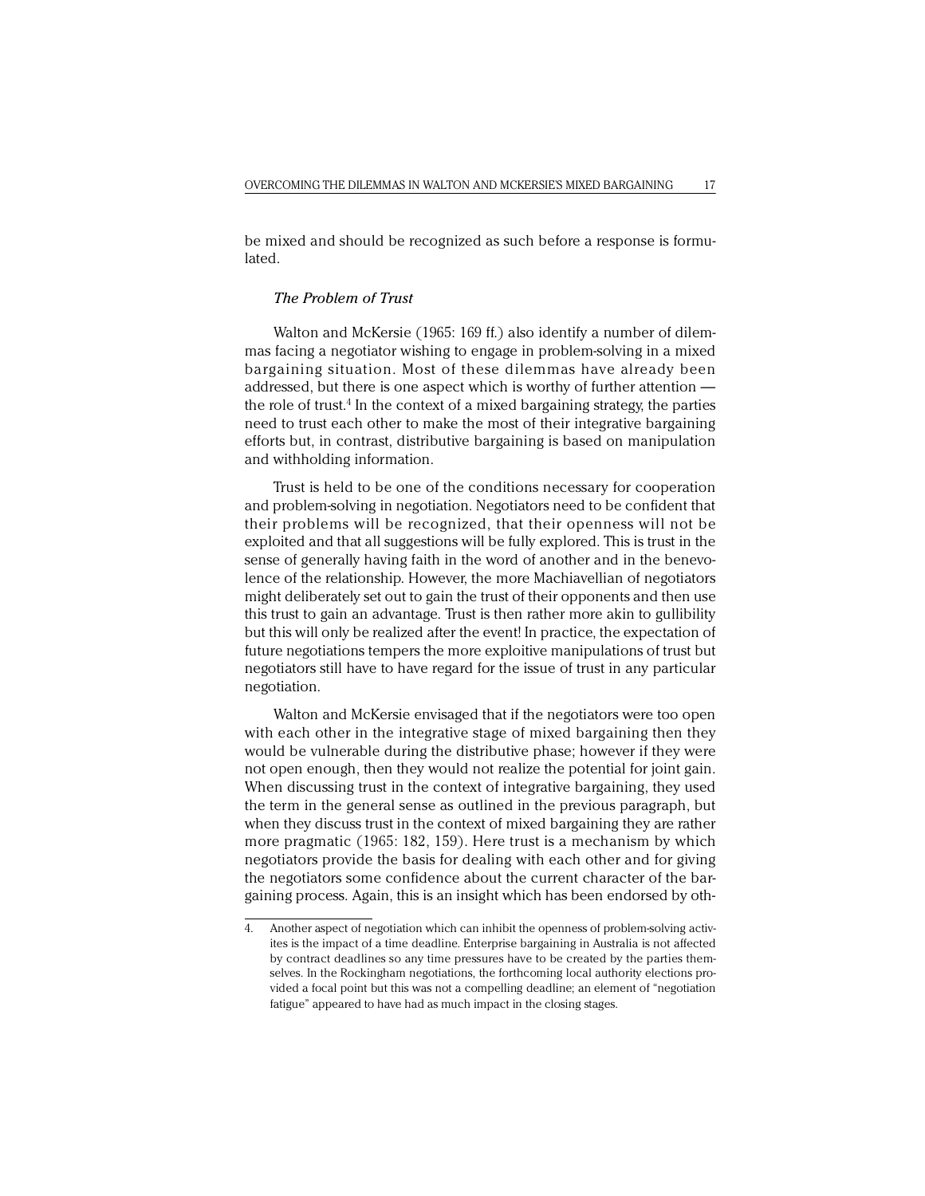be mixed and should be recognized as such before a response is formulated.

#### *The Problem of Trust*

Walton and McKersie (1965: 169 ff.) also identify a number of dilemmas facing a negotiator wishing to engage in problem-solving in a mixed bargaining situation. Most of these dilemmas have already been addressed, but there is one aspect which is worthy of further attention the role of trust.4 In the context of a mixed bargaining strategy, the parties need to trust each other to make the most of their integrative bargaining efforts but, in contrast, distributive bargaining is based on manipulation and withholding information.

Trust is held to be one of the conditions necessary for cooperation and problem-solving in negotiation. Negotiators need to be confident that their problems will be recognized, that their openness will not be exploited and that all suggestions will be fully explored. This is trust in the sense of generally having faith in the word of another and in the benevolence of the relationship. However, the more Machiavellian of negotiators might deliberately set out to gain the trust of their opponents and then use this trust to gain an advantage. Trust is then rather more akin to gullibility but this will only be realized after the event! In practice, the expectation of future negotiations tempers the more exploitive manipulations of trust but negotiators still have to have regard for the issue of trust in any particular negotiation.

Walton and McKersie envisaged that if the negotiators were too open with each other in the integrative stage of mixed bargaining then they would be vulnerable during the distributive phase; however if they were not open enough, then they would not realize the potential for joint gain. When discussing trust in the context of integrative bargaining, they used the term in the general sense as outlined in the previous paragraph, but when they discuss trust in the context of mixed bargaining they are rather more pragmatic (1965: 182, 159). Here trust is a mechanism by which negotiators provide the basis for dealing with each other and for giving the negotiators some confidence about the current character of the bargaining process. Again, this is an insight which has been endorsed by oth-

<sup>4.</sup> Another aspect of negotiation which can inhibit the openness of problem-solving activites is the impact of a time deadline. Enterprise bargaining in Australia is not affected by contract deadlines so any time pressures have to be created by the parties themselves. In the Rockingham negotiations, the forthcoming local authority elections provided a focal point but this was not a compelling deadline; an element of "negotiation fatigue" appeared to have had as much impact in the closing stages.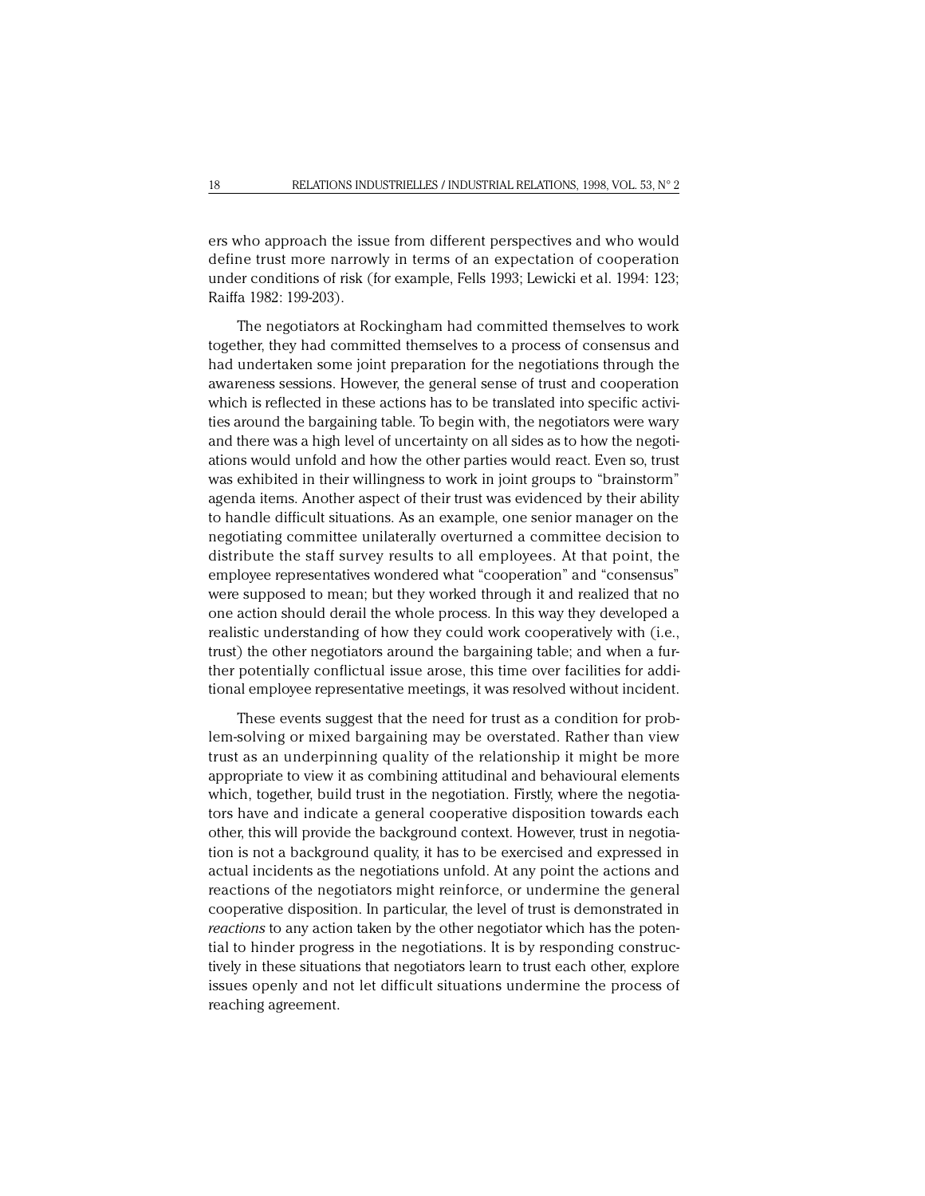ers who approach the issue from different perspectives and who would define trust more narrowly in terms of an expectation of cooperation under conditions of risk (for example, Fells 1993; Lewicki et al. 1994: 123; Raiffa 1982: 199-203).

The negotiators at Rockingham had committed themselves to work together, they had committed themselves to a process of consensus and had undertaken some joint preparation for the negotiations through the awareness sessions. However, the general sense of trust and cooperation which is reflected in these actions has to be translated into specific activities around the bargaining table. To begin with, the negotiators were wary and there was a high level of uncertainty on all sides as to how the negotiations would unfold and how the other parties would react. Even so, trust was exhibited in their willingness to work in joint groups to "brainstorm" agenda items. Another aspect of their trust was evidenced by their ability to handle difficult situations. As an example, one senior manager on the negotiating committee unilaterally overturned a committee decision to distribute the staff survey results to all employees. At that point, the employee representatives wondered what "cooperation" and "consensus" were supposed to mean; but they worked through it and realized that no one action should derail the whole process. In this way they developed a realistic understanding of how they could work cooperatively with (i.e., trust) the other negotiators around the bargaining table; and when a further potentially conflictual issue arose, this time over facilities for additional employee representative meetings, it was resolved without incident.

These events suggest that the need for trust as a condition for problem-solving or mixed bargaining may be overstated. Rather than view trust as an underpinning quality of the relationship it might be more appropriate to view it as combining attitudinal and behavioural elements which, together, build trust in the negotiation. Firstly, where the negotiators have and indicate a general cooperative disposition towards each other, this will provide the background context. However, trust in negotiation is not a background quality, it has to be exercised and expressed in actual incidents as the negotiations unfold. At any point the actions and reactions of the negotiators might reinforce, or undermine the general cooperative disposition. In particular, the level of trust is demonstrated in *reactions* to any action taken by the other negotiator which has the potential to hinder progress in the negotiations. It is by responding constructively in these situations that negotiators learn to trust each other, explore issues openly and not let difficult situations undermine the process of reaching agreement.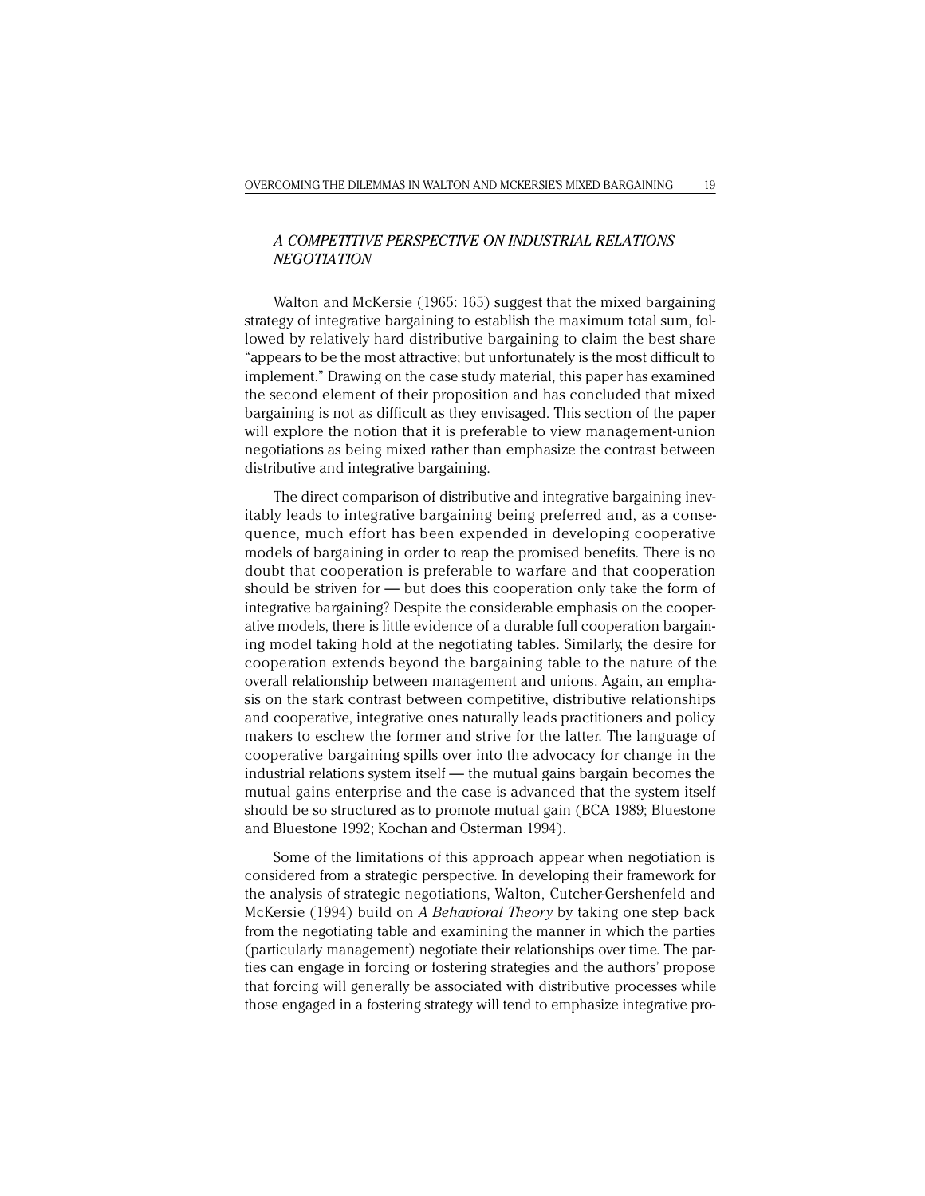## *A COMPETITIVE PERSPECTIVE ON INDUSTRIAL RELATIONS NEGOTIATION*

Walton and McKersie (1965: 165) suggest that the mixed bargaining strategy of integrative bargaining to establish the maximum total sum, followed by relatively hard distributive bargaining to claim the best share "appears to be the most attractive; but unfortunately is the most difficult to implement." Drawing on the case study material, this paper has examined the second element of their proposition and has concluded that mixed bargaining is not as difficult as they envisaged. This section of the paper will explore the notion that it is preferable to view management-union negotiations as being mixed rather than emphasize the contrast between distributive and integrative bargaining.

The direct comparison of distributive and integrative bargaining inevitably leads to integrative bargaining being preferred and, as a consequence, much effort has been expended in developing cooperative models of bargaining in order to reap the promised benefits. There is no doubt that cooperation is preferable to warfare and that cooperation should be striven for — but does this cooperation only take the form of integrative bargaining? Despite the considerable emphasis on the cooperative models, there is little evidence of a durable full cooperation bargaining model taking hold at the negotiating tables. Similarly, the desire for cooperation extends beyond the bargaining table to the nature of the overall relationship between management and unions. Again, an emphasis on the stark contrast between competitive, distributive relationships and cooperative, integrative ones naturally leads practitioners and policy makers to eschew the former and strive for the latter. The language of cooperative bargaining spills over into the advocacy for change in the industrial relations system itself — the mutual gains bargain becomes the mutual gains enterprise and the case is advanced that the system itself should be so structured as to promote mutual gain (BCA 1989; Bluestone and Bluestone 1992; Kochan and Osterman 1994).

Some of the limitations of this approach appear when negotiation is considered from a strategic perspective. In developing their framework for the analysis of strategic negotiations, Walton, Cutcher-Gershenfeld and McKersie (1994) build on *A Behavioral Theory* by taking one step back from the negotiating table and examining the manner in which the parties (particularly management) negotiate their relationships over time. The parties can engage in forcing or fostering strategies and the authors' propose that forcing will generally be associated with distributive processes while those engaged in a fostering strategy will tend to emphasize integrative pro-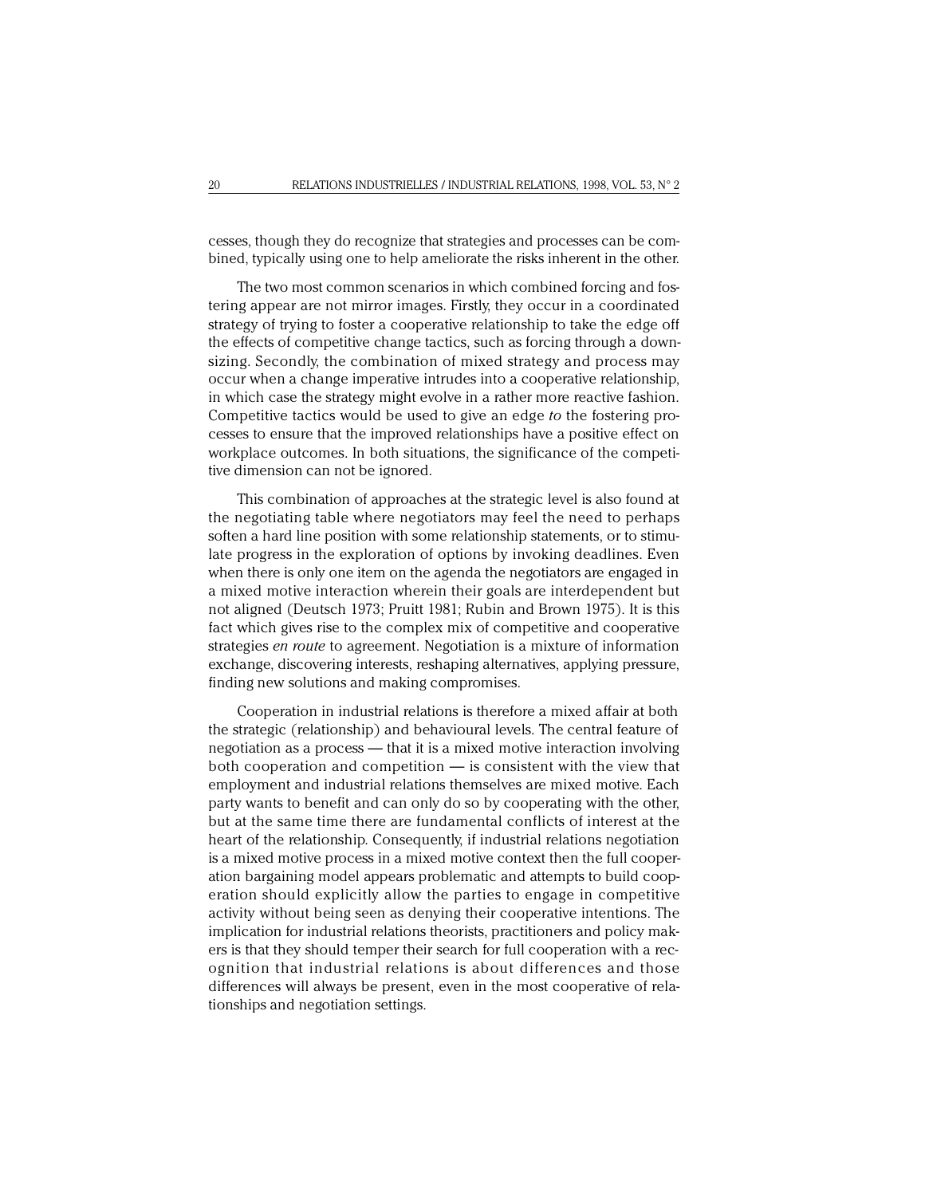cesses, though they do recognize that strategies and processes can be combined, typically using one to help ameliorate the risks inherent in the other.

The two most common scenarios in which combined forcing and fostering appear are not mirror images. Firstly, they occur in a coordinated strategy of trying to foster a cooperative relationship to take the edge off the effects of competitive change tactics, such as forcing through a downsizing. Secondly, the combination of mixed strategy and process may occur when a change imperative intrudes into a cooperative relationship, in which case the strategy might evolve in a rather more reactive fashion. Competitive tactics would be used to give an edge *to* the fostering processes to ensure that the improved relationships have a positive effect on workplace outcomes. In both situations, the significance of the competitive dimension can not be ignored.

This combination of approaches at the strategic level is also found at the negotiating table where negotiators may feel the need to perhaps soften a hard line position with some relationship statements, or to stimulate progress in the exploration of options by invoking deadlines. Even when there is only one item on the agenda the negotiators are engaged in a mixed motive interaction wherein their goals are interdependent but not aligned (Deutsch 1973; Pruitt 1981; Rubin and Brown 1975). It is this fact which gives rise to the complex mix of competitive and cooperative strategies *en route* to agreement. Negotiation is a mixture of information exchange, discovering interests, reshaping alternatives, applying pressure, finding new solutions and making compromises.

Cooperation in industrial relations is therefore a mixed affair at both the strategic (relationship) and behavioural levels. The central feature of negotiation as a process — that it is a mixed motive interaction involving both cooperation and competition — is consistent with the view that employment and industrial relations themselves are mixed motive. Each party wants to benefit and can only do so by cooperating with the other, but at the same time there are fundamental conflicts of interest at the heart of the relationship. Consequently, if industrial relations negotiation is a mixed motive process in a mixed motive context then the full cooperation bargaining model appears problematic and attempts to build cooperation should explicitly allow the parties to engage in competitive activity without being seen as denying their cooperative intentions. The implication for industrial relations theorists, practitioners and policy makers is that they should temper their search for full cooperation with a recognition that industrial relations is about differences and those differences will always be present, even in the most cooperative of relationships and negotiation settings.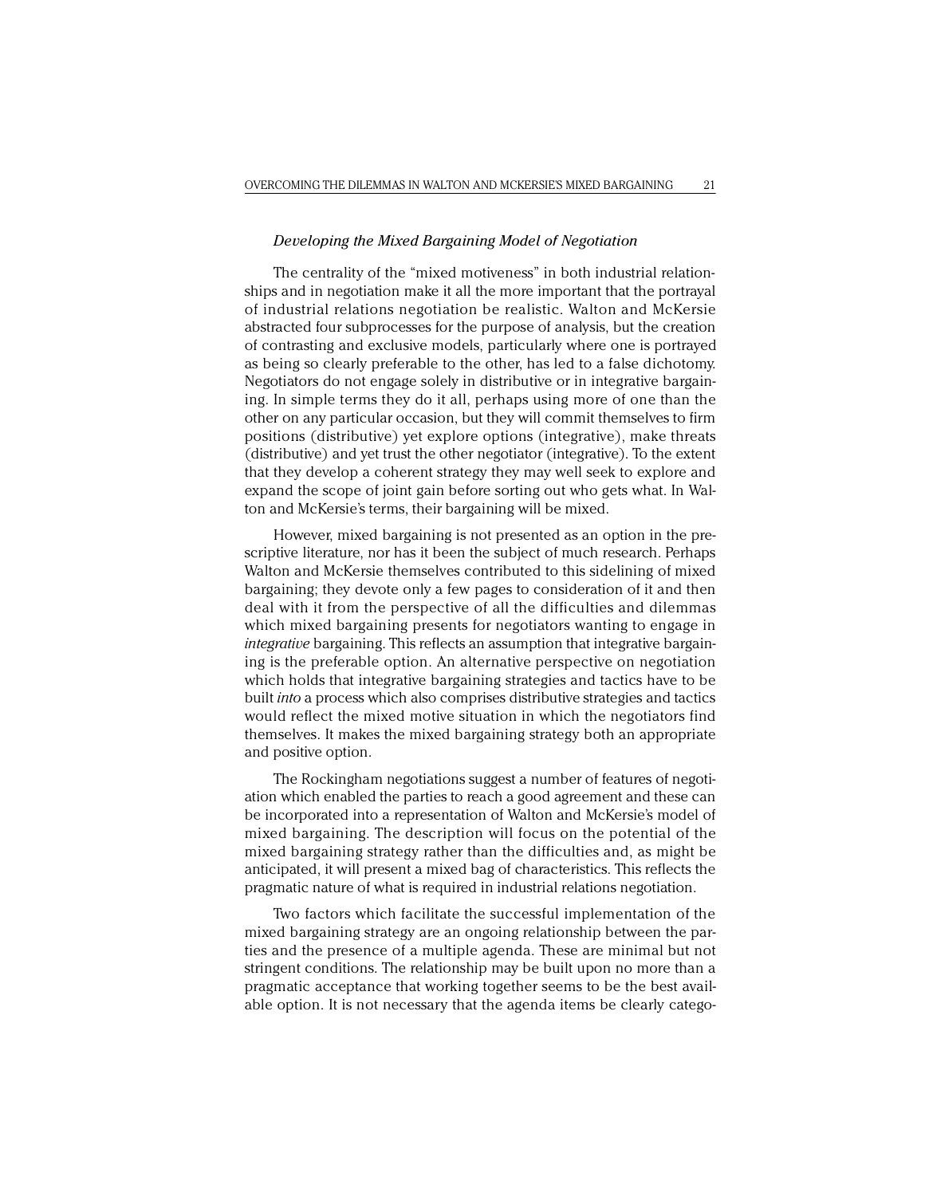### *Developing the Mixed Bargaining Model of Negotiation*

The centrality of the "mixed motiveness" in both industrial relationships and in negotiation make it all the more important that the portrayal of industrial relations negotiation be realistic. Walton and McKersie abstracted four subprocesses for the purpose of analysis, but the creation of contrasting and exclusive models, particularly where one is portrayed as being so clearly preferable to the other, has led to a false dichotomy. Negotiators do not engage solely in distributive or in integrative bargaining. In simple terms they do it all, perhaps using more of one than the other on any particular occasion, but they will commit themselves to firm positions (distributive) yet explore options (integrative), make threats (distributive) and yet trust the other negotiator (integrative). To the extent that they develop a coherent strategy they may well seek to explore and expand the scope of joint gain before sorting out who gets what. In Walton and McKersie's terms, their bargaining will be mixed.

However, mixed bargaining is not presented as an option in the prescriptive literature, nor has it been the subject of much research. Perhaps Walton and McKersie themselves contributed to this sidelining of mixed bargaining; they devote only a few pages to consideration of it and then deal with it from the perspective of all the difficulties and dilemmas which mixed bargaining presents for negotiators wanting to engage in *integrative* bargaining. This reflects an assumption that integrative bargaining is the preferable option. An alternative perspective on negotiation which holds that integrative bargaining strategies and tactics have to be built *into* a process which also comprises distributive strategies and tactics would reflect the mixed motive situation in which the negotiators find themselves. It makes the mixed bargaining strategy both an appropriate and positive option.

The Rockingham negotiations suggest a number of features of negotiation which enabled the parties to reach a good agreement and these can be incorporated into a representation of Walton and McKersie's model of mixed bargaining. The description will focus on the potential of the mixed bargaining strategy rather than the difficulties and, as might be anticipated, it will present a mixed bag of characteristics. This reflects the pragmatic nature of what is required in industrial relations negotiation.

Two factors which facilitate the successful implementation of the mixed bargaining strategy are an ongoing relationship between the parties and the presence of a multiple agenda. These are minimal but not stringent conditions. The relationship may be built upon no more than a pragmatic acceptance that working together seems to be the best available option. It is not necessary that the agenda items be clearly catego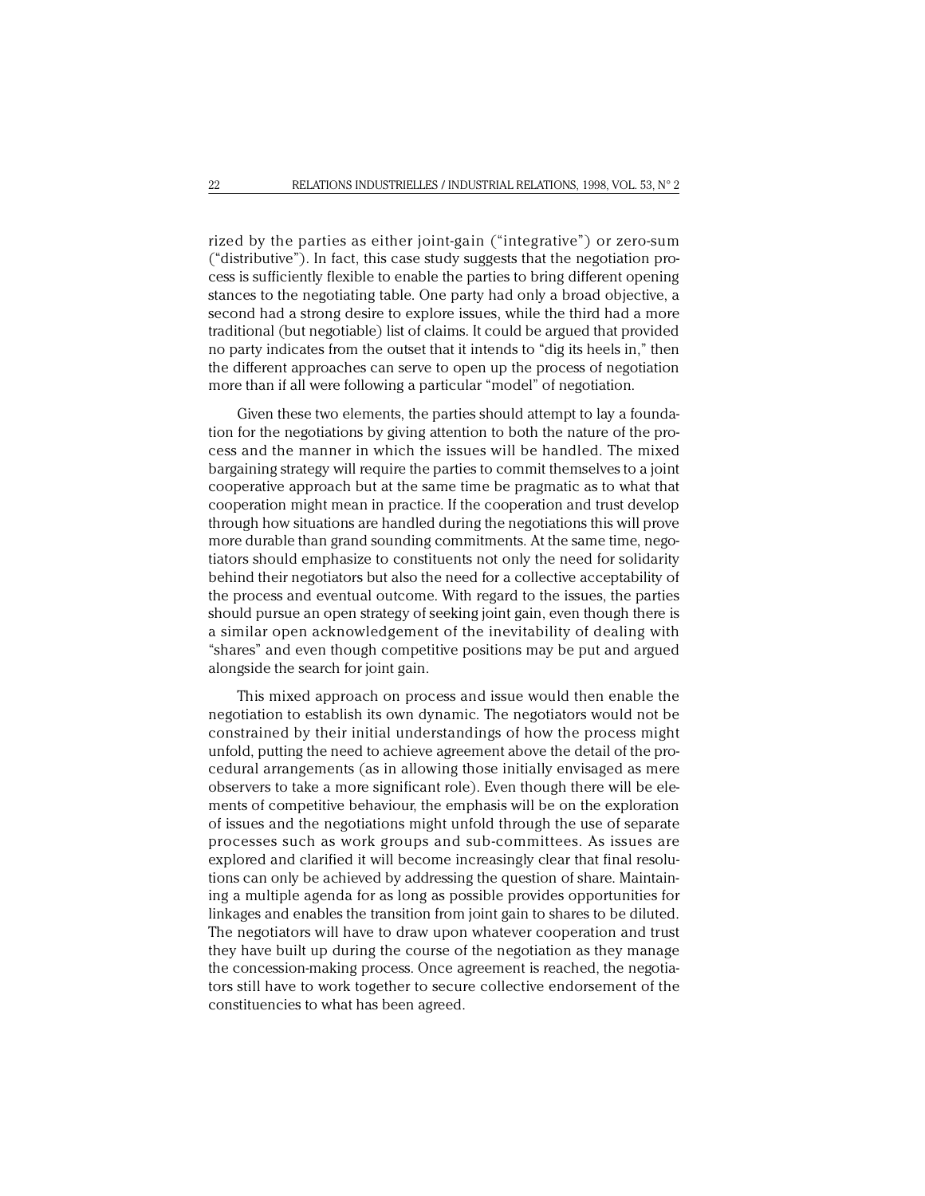rized by the parties as either joint-gain ("integrative") or zero-sum ("distributive"). In fact, this case study suggests that the negotiation process is sufficiently flexible to enable the parties to bring different opening stances to the negotiating table. One party had only a broad objective, a second had a strong desire to explore issues, while the third had a more traditional (but negotiable) list of claims. It could be argued that provided no party indicates from the outset that it intends to "dig its heels in," then the different approaches can serve to open up the process of negotiation more than if all were following a particular "model" of negotiation.

Given these two elements, the parties should attempt to lay a foundation for the negotiations by giving attention to both the nature of the process and the manner in which the issues will be handled. The mixed bargaining strategy will require the parties to commit themselves to a joint cooperative approach but at the same time be pragmatic as to what that cooperation might mean in practice. If the cooperation and trust develop through how situations are handled during the negotiations this will prove more durable than grand sounding commitments. At the same time, negotiators should emphasize to constituents not only the need for solidarity behind their negotiators but also the need for a collective acceptability of the process and eventual outcome. With regard to the issues, the parties should pursue an open strategy of seeking joint gain, even though there is a similar open acknowledgement of the inevitability of dealing with "shares" and even though competitive positions may be put and argued alongside the search for joint gain.

This mixed approach on process and issue would then enable the negotiation to establish its own dynamic. The negotiators would not be constrained by their initial understandings of how the process might unfold, putting the need to achieve agreement above the detail of the procedural arrangements (as in allowing those initially envisaged as mere observers to take a more significant role). Even though there will be elements of competitive behaviour, the emphasis will be on the exploration of issues and the negotiations might unfold through the use of separate processes such as work groups and sub-committees. As issues are explored and clarified it will become increasingly clear that final resolutions can only be achieved by addressing the question of share. Maintaining a multiple agenda for as long as possible provides opportunities for linkages and enables the transition from joint gain to shares to be diluted. The negotiators will have to draw upon whatever cooperation and trust they have built up during the course of the negotiation as they manage the concession-making process. Once agreement is reached, the negotiators still have to work together to secure collective endorsement of the constituencies to what has been agreed.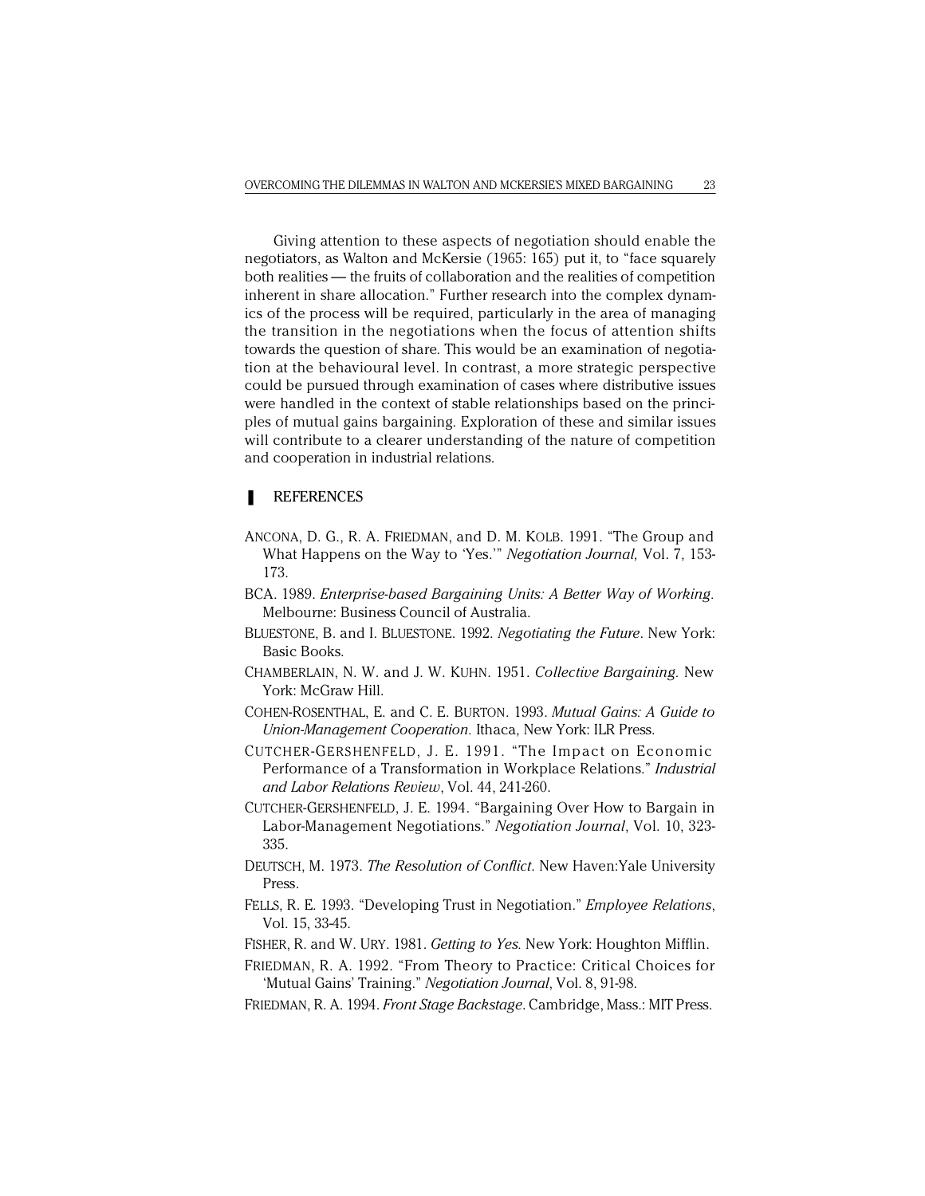Giving attention to these aspects of negotiation should enable the negotiators, as Walton and McKersie (1965: 165) put it, to "face squarely both realities — the fruits of collaboration and the realities of competition inherent in share allocation." Further research into the complex dynamics of the process will be required, particularly in the area of managing the transition in the negotiations when the focus of attention shifts towards the question of share. This would be an examination of negotiation at the behavioural level. In contrast, a more strategic perspective could be pursued through examination of cases where distributive issues were handled in the context of stable relationships based on the principles of mutual gains bargaining. Exploration of these and similar issues will contribute to a clearer understanding of the nature of competition and cooperation in industrial relations.

## ■ REFERENCES

- ANCONA, D. G., R. A. FRIEDMAN, and D. M. KOLB. 1991. "The Group and What Happens on the Way to 'Yes.'" *Negotiation Journal,* Vol. 7, 153- 173.
- BCA. 1989. *Enterprise-based Bargaining Units: A Better Way of Working.* Melbourne: Business Council of Australia.
- BLUESTONE, B. and I. BLUESTONE. 1992. *Negotiating the Future*. New York: Basic Books.
- CHAMBERLAIN, N. W. and J. W. KUHN. 1951. *Collective Bargaining.* New York: McGraw Hill.
- COHEN-ROSENTHAL, E. and C. E. BURTON. 1993. *Mutual Gains: A Guide to Union-Management Cooperation.* Ithaca, New York: ILR Press.
- CUTCHER-GERSHENFELD, J. E. 1991. "The Impact on Economic Performance of a Transformation in Workplace Relations." *Industrial and Labor Relations Review*, Vol. 44, 241-260.
- CUTCHER-GERSHENFELD, J. E. 1994. "Bargaining Over How to Bargain in Labor-Management Negotiations." *Negotiation Journal*, Vol. 10, 323- 335.
- DEUTSCH, M. 1973. *The Resolution of Conflict*. New Haven:Yale University Press.
- FELLS, R. E. 1993. "Developing Trust in Negotiation." *Employee Relations*, Vol. 15, 33-45.
- FISHER, R. and W. URY. 1981. *Getting to Yes.* New York: Houghton Mifflin.
- FRIEDMAN, R. A. 1992. "From Theory to Practice: Critical Choices for 'Mutual Gains' Training." *Negotiation Journal*, Vol. 8, 91-98.
- FRIEDMAN, R. A. 1994. *Front Stage Backstage*. Cambridge, Mass.: MIT Press.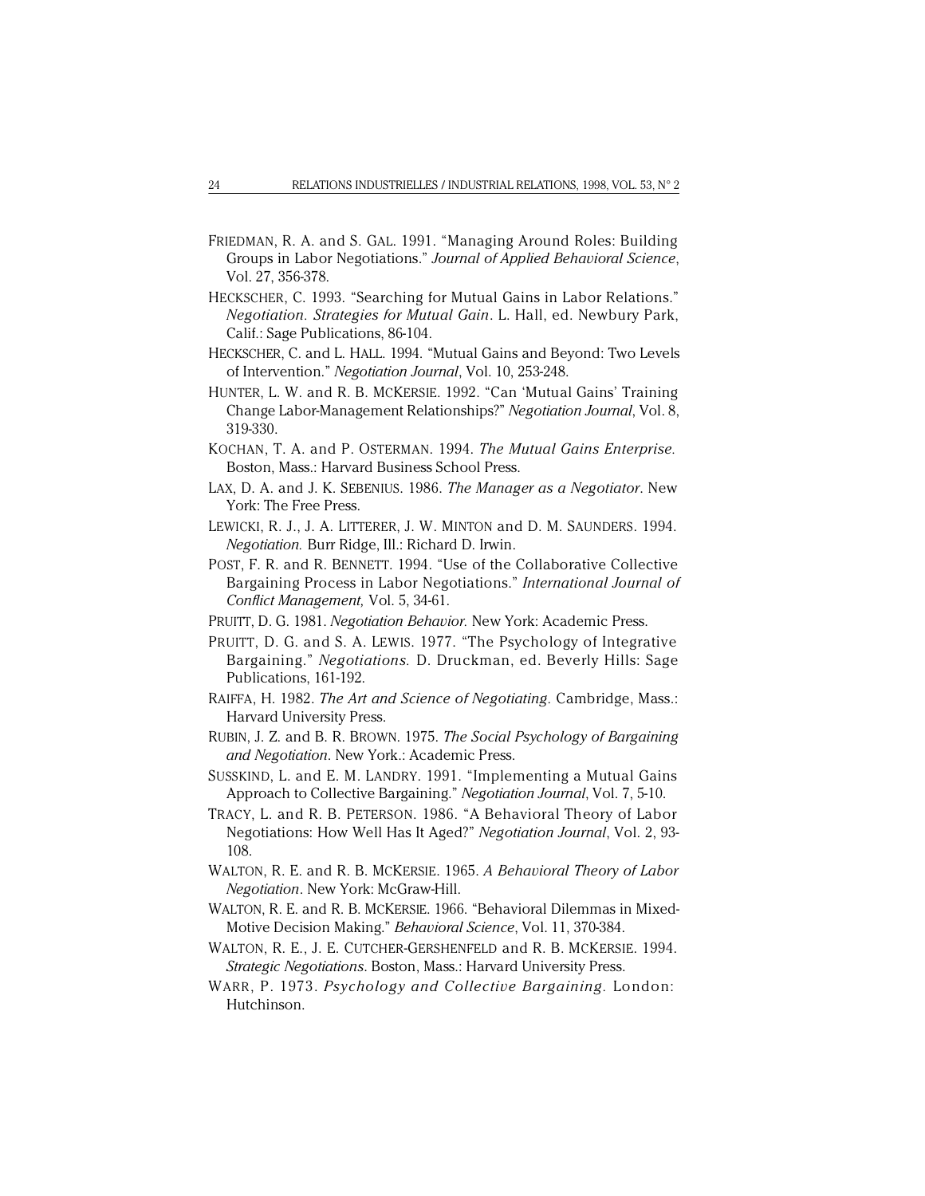- FRIEDMAN, R. A. and S. GAL. 1991. "Managing Around Roles: Building Groups in Labor Negotiations." *Journal of Applied Behavioral Science*, Vol. 27, 356-378.
- HECKSCHER, C. 1993. "Searching for Mutual Gains in Labor Relations." *Negotiation. Strategies for Mutual Gain*. L. Hall, ed. Newbury Park, Calif.: Sage Publications, 86-104.
- HECKSCHER, C. and L. HALL. 1994. "Mutual Gains and Beyond: Two Levels of Intervention." *Negotiation Journal*, Vol. 10, 253-248.
- HUNTER, L. W. and R. B. MCKERSIE. 1992. "Can 'Mutual Gains' Training Change Labor-Management Relationships?" *Negotiation Journal*, Vol. 8, 319-330.
- KOCHAN, T. A. and P. OSTERMAN. 1994. *The Mutual Gains Enterprise.* Boston, Mass.: Harvard Business School Press.
- LAX, D. A. and J. K. SEBENIUS. 1986. *The Manager as a Negotiator*. New York: The Free Press.
- LEWICKI, R. J., J. A. LITTERER, J. W. MINTON and D. M. SAUNDERS. 1994. *Negotiation.* Burr Ridge, Ill.: Richard D. Irwin.
- POST, F. R. and R. BENNETT. 1994. "Use of the Collaborative Collective Bargaining Process in Labor Negotiations." *International Journal of Conflict Management,* Vol. 5, 34-61.
- PRUITT, D. G. 1981. *Negotiation Behavior.* New York: Academic Press.
- PRUITT, D. G. and S. A. LEWIS. 1977. "The Psychology of Integrative Bargaining." *Negotiations.* D. Druckman, ed. Beverly Hills: Sage Publications, 161-192.
- RAIFFA, H. 1982. *The Art and Science of Negotiating.* Cambridge, Mass.: Harvard University Press.
- RUBIN, J. Z. and B. R. BROWN. 1975. *The Social Psychology of Bargaining and Negotiation*. New York.: Academic Press.
- SUSSKIND, L. and E. M. LANDRY. 1991. "Implementing a Mutual Gains Approach to Collective Bargaining." *Negotiation Journal*, Vol. 7, 5-10.
- TRACY, L. and R. B. PETERSON. 1986. "A Behavioral Theory of Labor Negotiations: How Well Has It Aged?" *Negotiation Journal*, Vol. 2, 93- 108.
- WALTON, R. E. and R. B. MCKERSIE. 1965. *A Behavioral Theory of Labor Negotiation*. New York: McGraw-Hill.
- WALTON, R. E. and R. B. MCKERSIE. 1966. "Behavioral Dilemmas in Mixed-Motive Decision Making." *Behavioral Science*, Vol. 11, 370-384.
- WALTON, R. E., J. E. CUTCHER-GERSHENFELD and R. B. MCKERSIE. 1994. *Strategic Negotiations*. Boston, Mass.: Harvard University Press.
- WARR, P. 1973. *Psychology and Collective Bargaining.* London: Hutchinson.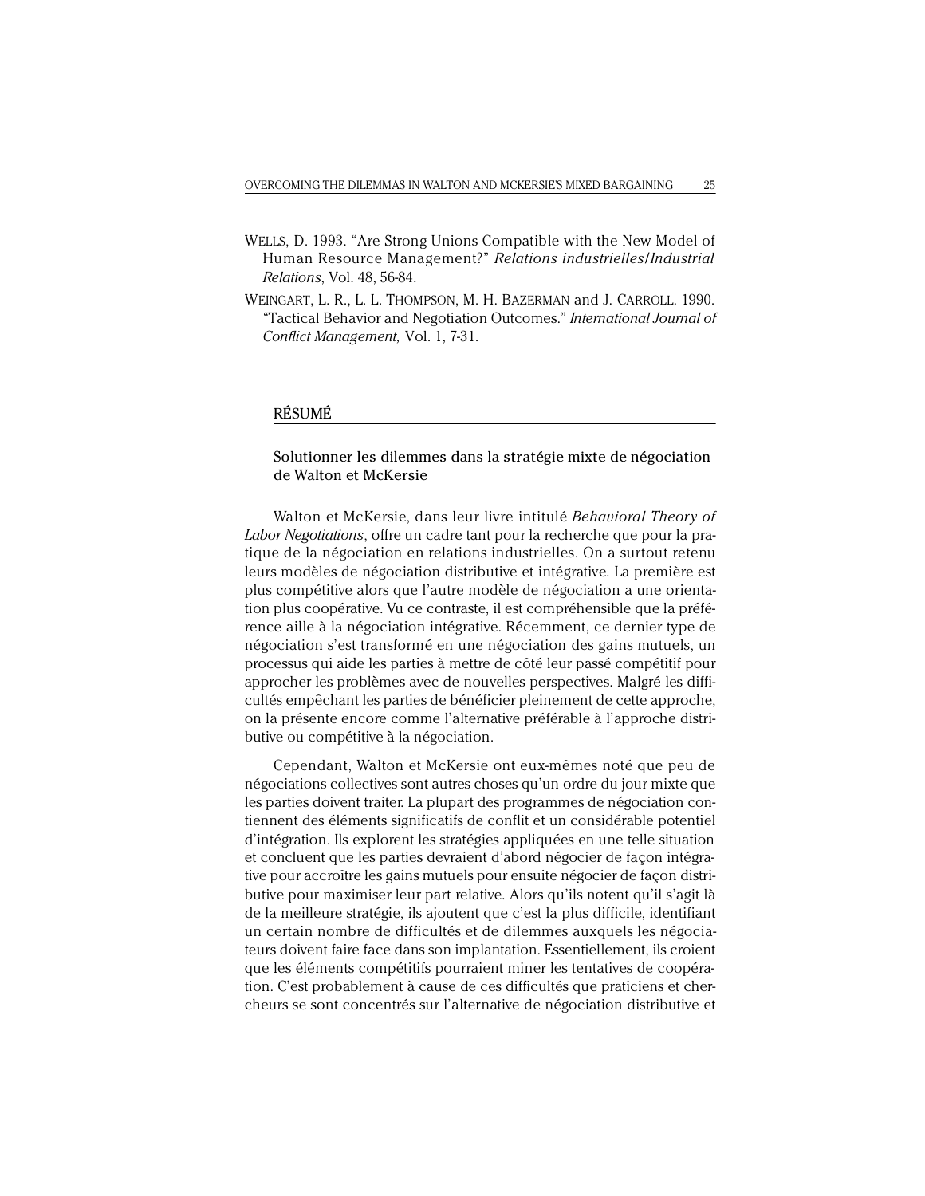- WELLS, D. 1993. "Are Strong Unions Compatible with the New Model of Human Resource Management?" *Relations industrielles*/*Industrial Relations*, Vol. 48, 56-84.
- WEINGART, L. R., L. L. THOMPSON, M. H. BAZERMAN and J. CARROLL. 1990. "Tactical Behavior and Negotiation Outcomes." *International Journal of Conflict Management,* Vol. 1, 7-31.

#### RÉSUMÉ

## Solutionner les dilemmes dans la stratégie mixte de négociation de Walton et McKersie

Walton et McKersie, dans leur livre intitulé *Behavioral Theory of Labor Negotiations*, offre un cadre tant pour la recherche que pour la pratique de la négociation en relations industrielles. On a surtout retenu leurs modèles de négociation distributive et intégrative. La première est plus compétitive alors que l'autre modèle de négociation a une orientation plus coopérative. Vu ce contraste, il est compréhensible que la préférence aille à la négociation intégrative. Récemment, ce dernier type de négociation s'est transformé en une négociation des gains mutuels, un processus qui aide les parties à mettre de côté leur passé compétitif pour approcher les problèmes avec de nouvelles perspectives. Malgré les difficultés empêchant les parties de bénéficier pleinement de cette approche, on la présente encore comme l'alternative préférable à l'approche distributive ou compétitive à la négociation.

Cependant, Walton et McKersie ont eux-mêmes noté que peu de négociations collectives sont autres choses qu'un ordre du jour mixte que les parties doivent traiter. La plupart des programmes de négociation contiennent des éléments significatifs de conflit et un considérable potentiel d'intégration. Ils explorent les stratégies appliquées en une telle situation et concluent que les parties devraient d'abord négocier de façon intégrative pour accroître les gains mutuels pour ensuite négocier de façon distributive pour maximiser leur part relative. Alors qu'ils notent qu'il s'agit là de la meilleure stratégie, ils ajoutent que c'est la plus difficile, identifiant un certain nombre de difficultés et de dilemmes auxquels les négociateurs doivent faire face dans son implantation. Essentiellement, ils croient que les éléments compétitifs pourraient miner les tentatives de coopération. C'est probablement à cause de ces difficultés que praticiens et chercheurs se sont concentrés sur l'alternative de négociation distributive et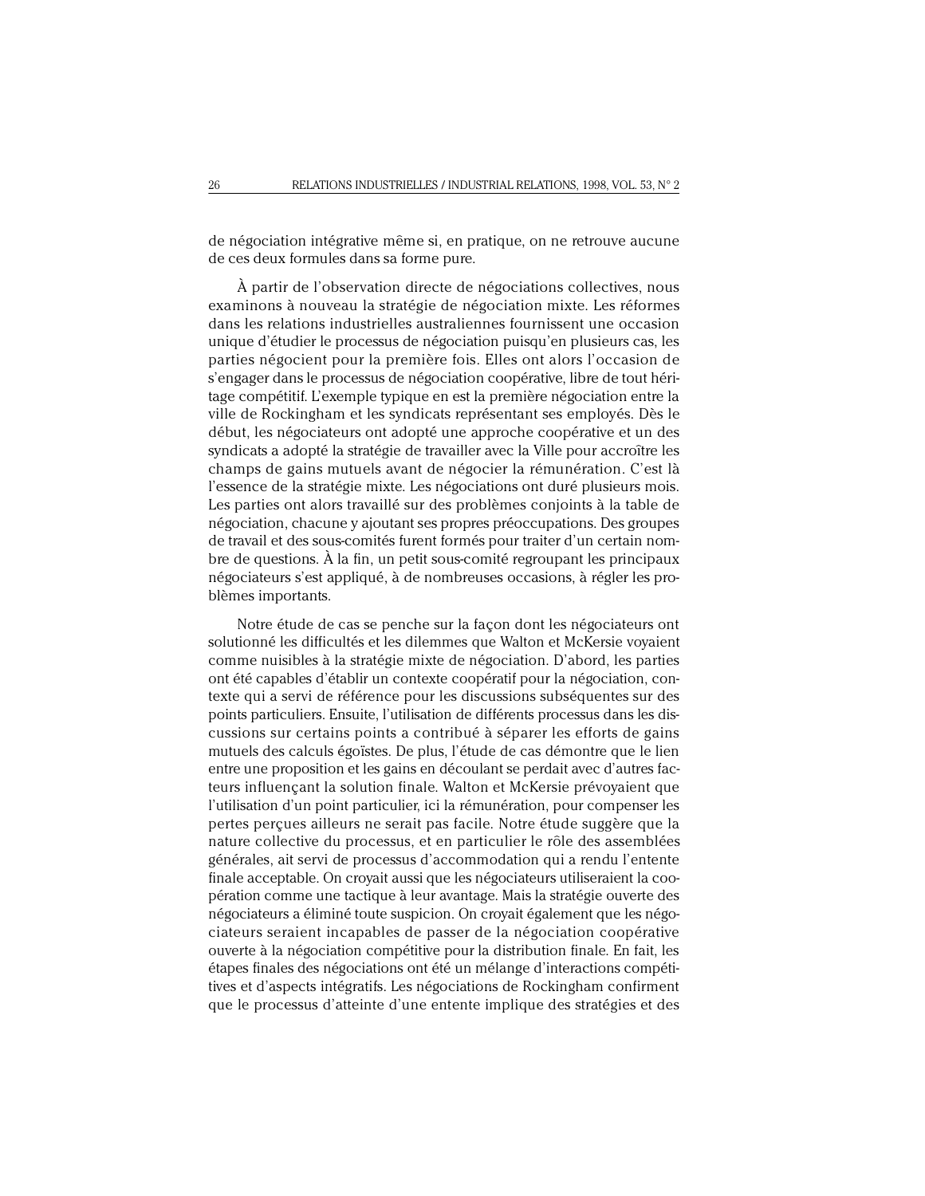de négociation intégrative même si, en pratique, on ne retrouve aucune de ces deux formules dans sa forme pure.

À partir de l'observation directe de négociations collectives, nous examinons à nouveau la stratégie de négociation mixte. Les réformes dans les relations industrielles australiennes fournissent une occasion unique d'étudier le processus de négociation puisqu'en plusieurs cas, les parties négocient pour la première fois. Elles ont alors l'occasion de s'engager dans le processus de négociation coopérative, libre de tout héritage compétitif. L'exemple typique en est la première négociation entre la ville de Rockingham et les syndicats représentant ses employés. Dès le début, les négociateurs ont adopté une approche coopérative et un des syndicats a adopté la stratégie de travailler avec la Ville pour accroître les champs de gains mutuels avant de négocier la rémunération. C'est là l'essence de la stratégie mixte. Les négociations ont duré plusieurs mois. Les parties ont alors travaillé sur des problèmes conjoints à la table de négociation, chacune y ajoutant ses propres préoccupations. Des groupes de travail et des sous-comités furent formés pour traiter d'un certain nombre de questions. À la fin, un petit sous-comité regroupant les principaux négociateurs s'est appliqué, à de nombreuses occasions, à régler les problèmes importants.

Notre étude de cas se penche sur la façon dont les négociateurs ont solutionné les difficultés et les dilemmes que Walton et McKersie voyaient comme nuisibles à la stratégie mixte de négociation. D'abord, les parties ont été capables d'établir un contexte coopératif pour la négociation, contexte qui a servi de référence pour les discussions subséquentes sur des points particuliers. Ensuite, l'utilisation de différents processus dans les discussions sur certains points a contribué à séparer les efforts de gains mutuels des calculs égoïstes. De plus, l'étude de cas démontre que le lien entre une proposition et les gains en découlant se perdait avec d'autres facteurs influençant la solution finale. Walton et McKersie prévoyaient que l'utilisation d'un point particulier, ici la rémunération, pour compenser les pertes perçues ailleurs ne serait pas facile. Notre étude suggère que la nature collective du processus, et en particulier le rôle des assemblées générales, ait servi de processus d'accommodation qui a rendu l'entente finale acceptable. On croyait aussi que les négociateurs utiliseraient la coopération comme une tactique à leur avantage. Mais la stratégie ouverte des négociateurs a éliminé toute suspicion. On croyait également que les négociateurs seraient incapables de passer de la négociation coopérative ouverte à la négociation compétitive pour la distribution finale. En fait, les étapes finales des négociations ont été un mélange d'interactions compétitives et d'aspects intégratifs. Les négociations de Rockingham confirment que le processus d'atteinte d'une entente implique des stratégies et des